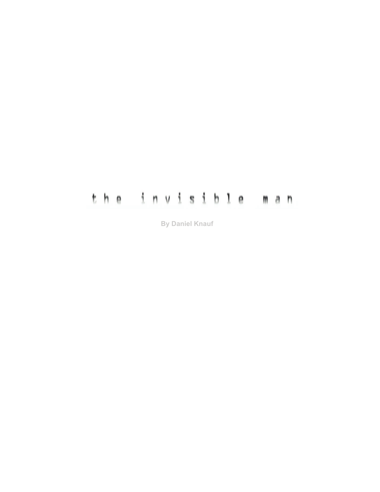# the invisible man

**By Daniel Knauf**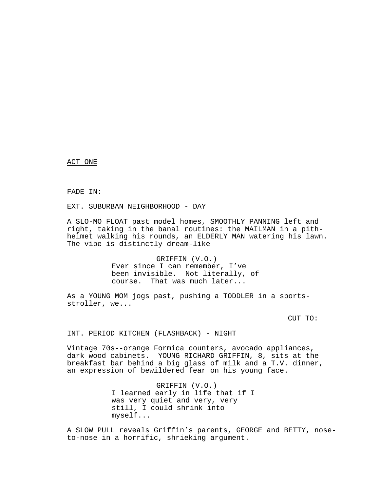ACT ONE

FADE IN:

EXT. SUBURBAN NEIGHBORHOOD - DAY

A SLO-MO FLOAT past model homes, SMOOTHLY PANNING left and right, taking in the banal routines: the MAILMAN in a pithhelmet walking his rounds, an ELDERLY MAN watering his lawn. The vibe is distinctly dream-like

> GRIFFIN (V.O.) Ever since I can remember, I've been invisible. Not literally, of course. That was much later...

As a YOUNG MOM jogs past, pushing a TODDLER in a sportsstroller, we...

CUT TO:

INT. PERIOD KITCHEN (FLASHBACK) - NIGHT

Vintage 70s--orange Formica counters, avocado appliances, dark wood cabinets. YOUNG RICHARD GRIFFIN, 8, sits at the breakfast bar behind a big glass of milk and a T.V. dinner, an expression of bewildered fear on his young face.

> GRIFFIN (V.O.) I learned early in life that if I was very quiet and very, very still, I could shrink into myself...

A SLOW PULL reveals Griffin's parents, GEORGE and BETTY, noseto-nose in a horrific, shrieking argument.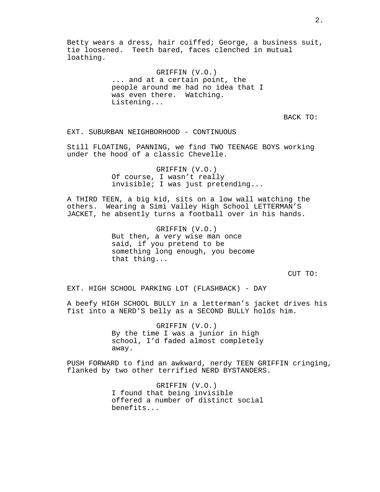Betty wears a dress, hair coiffed; George, a business suit, tie loosened. Teeth bared, faces clenched in mutual loathing.

> GRIFFIN (V.O.) ... and at a certain point, the people around me had no idea that I was even there. Watching. Listening...

> > BACK TO:

EXT. SUBURBAN NEIGHBORHOOD - CONTINUOUS

Still FLOATING, PANNING, we find TWO TEENAGE BOYS working under the hood of a classic Chevelle.

> GRIFFIN (V.O.) Of course, I wasn't really invisible; I was just pretending...

A THIRD TEEN, a big kid, sits on a low wall watching the others. Wearing a Simi Valley High School LETTERMAN'S JACKET, he absently turns a football over in his hands.

> GRIFFIN (V.O.) But then, a very wise man once said, if you pretend to be something long enough, you become that thing...

> > CUT TO:

EXT. HIGH SCHOOL PARKING LOT (FLASHBACK) - DAY

A beefy HIGH SCHOOL BULLY in a letterman's jacket drives his fist into a NERD'S belly as a SECOND BULLY holds him.

> GRIFFIN (V.O.) By the time I was a junior in high school, I'd faded almost completely away.

PUSH FORWARD to find an awkward, nerdy TEEN GRIFFIN cringing, flanked by two other terrified NERD BYSTANDERS.

> GRIFFIN (V.O.) I found that being invisible offered a number of distinct social benefits...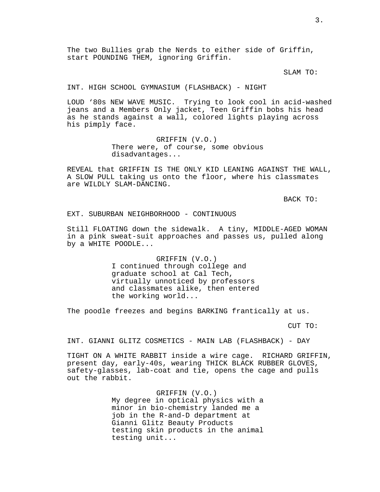The two Bullies grab the Nerds to either side of Griffin, start POUNDING THEM, ignoring Griffin.

SLAM TO:

INT. HIGH SCHOOL GYMNASIUM (FLASHBACK) - NIGHT

LOUD '80s NEW WAVE MUSIC. Trying to look cool in acid-washed jeans and a Members Only jacket, Teen Griffin bobs his head as he stands against a wall, colored lights playing across his pimply face.

> GRIFFIN (V.O.) There were, of course, some obvious disadvantages...

REVEAL that GRIFFIN IS THE ONLY KID LEANING AGAINST THE WALL, A SLOW PULL taking us onto the floor, where his classmates are WILDLY SLAM-DANCING.

BACK TO:

EXT. SUBURBAN NEIGHBORHOOD - CONTINUOUS

Still FLOATING down the sidewalk. A tiny, MIDDLE-AGED WOMAN in a pink sweat-suit approaches and passes us, pulled along by a WHITE POODLE...

> GRIFFIN (V.O.) I continued through college and graduate school at Cal Tech, virtually unnoticed by professors and classmates alike, then entered the working world...

The poodle freezes and begins BARKING frantically at us.

CUT TO:

INT. GIANNI GLITZ COSMETICS - MAIN LAB (FLASHBACK) - DAY

TIGHT ON A WHITE RABBIT inside a wire cage. RICHARD GRIFFIN, present day, early-40s, wearing THICK BLACK RUBBER GLOVES, safety-glasses, lab-coat and tie, opens the cage and pulls out the rabbit.

> GRIFFIN (V.O.) My degree in optical physics with a minor in bio-chemistry landed me a job in the R-and-D department at Gianni Glitz Beauty Products testing skin products in the animal testing unit...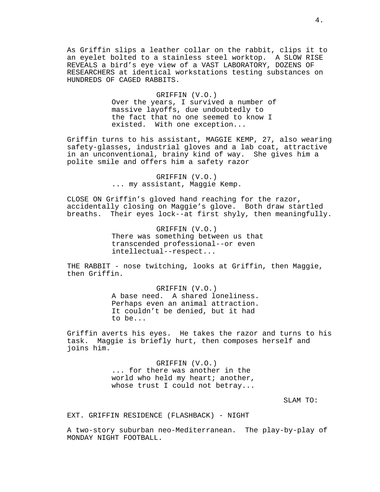As Griffin slips a leather collar on the rabbit, clips it to an eyelet bolted to a stainless steel worktop. A SLOW RISE REVEALS a bird's eye view of a VAST LABORATORY, DOZENS OF RESEARCHERS at identical workstations testing substances on HUNDREDS OF CAGED RABBITS.

#### GRIFFIN (V.O.)

Over the years, I survived a number of massive layoffs, due undoubtedly to the fact that no one seemed to know I existed. With one exception...

Griffin turns to his assistant, MAGGIE KEMP, 27, also wearing safety-glasses, industrial gloves and a lab coat, attractive in an unconventional, brainy kind of way. She gives him a polite smile and offers him a safety razor

> GRIFFIN (V.O.) ... my assistant, Maggie Kemp.

CLOSE ON Griffin's gloved hand reaching for the razor, accidentally closing on Maggie's glove. Both draw startled breaths. Their eyes lock--at first shyly, then meaningfully.

> GRIFFIN (V.O.) There was something between us that transcended professional--or even intellectual--respect...

THE RABBIT - nose twitching, looks at Griffin, then Maggie, then Griffin.

> GRIFFIN (V.O.) A base need. A shared loneliness. Perhaps even an animal attraction. It couldn't be denied, but it had to be...

Griffin averts his eyes. He takes the razor and turns to his task. Maggie is briefly hurt, then composes herself and joins him.

> GRIFFIN (V.O.) ... for there was another in the world who held my heart; another, whose trust I could not betray...

> > SLAM TO:

EXT. GRIFFIN RESIDENCE (FLASHBACK) - NIGHT

A two-story suburban neo-Mediterranean. The play-by-play of MONDAY NIGHT FOOTBALL.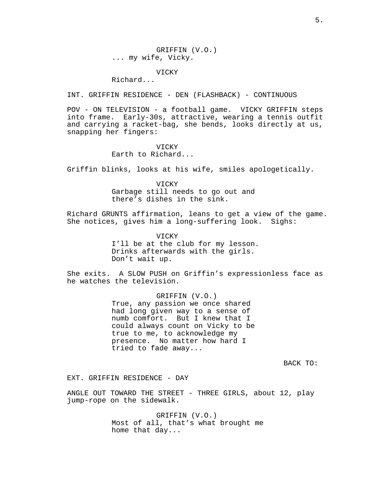GRIFFIN (V.O.) ... my wife, Vicky.

## VICKY

Richard...

INT. GRIFFIN RESIDENCE - DEN (FLASHBACK) - CONTINUOUS

POV - ON TELEVISION - a football game. VICKY GRIFFIN steps into frame. Early-30s, attractive, wearing a tennis outfit and carrying a racket-bag, she bends, looks directly at us, snapping her fingers:

## **VICKY**

Earth to Richard...

Griffin blinks, looks at his wife, smiles apologetically.

VICKY

Garbage still needs to go out and there's dishes in the sink.

Richard GRUNTS affirmation, leans to get a view of the game. She notices, gives him a long-suffering look. Sighs:

VICKY

I'll be at the club for my lesson. Drinks afterwards with the girls. Don't wait up.

She exits. A SLOW PUSH on Griffin's expressionless face as he watches the television.

> GRIFFIN (V.O.) True, any passion we once shared had long given way to a sense of numb comfort. But I knew that I could always count on Vicky to be true to me, to acknowledge my presence. No matter how hard I tried to fade away...

> > BACK TO:

EXT. GRIFFIN RESIDENCE - DAY

ANGLE OUT TOWARD THE STREET - THREE GIRLS, about 12, play jump-rope on the sidewalk.

> GRIFFIN (V.O.) Most of all, that's what brought me home that day...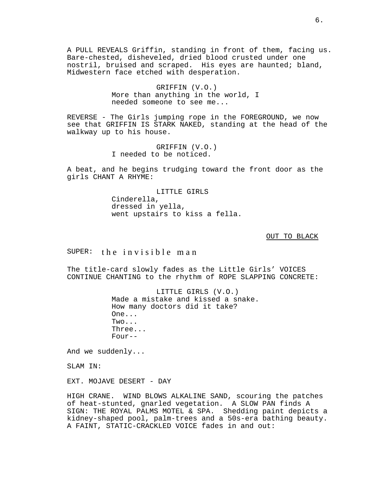A PULL REVEALS Griffin, standing in front of them, facing us. Bare-chested, disheveled, dried blood crusted under one nostril, bruised and scraped. His eyes are haunted; bland, Midwestern face etched with desperation.

> GRIFFIN (V.O.) More than anything in the world, I needed someone to see me...

REVERSE - The Girls jumping rope in the FOREGROUND, we now see that GRIFFIN IS STARK NAKED, standing at the head of the walkway up to his house.

> GRIFFIN (V.O.) I needed to be noticed.

A beat, and he begins trudging toward the front door as the girls CHANT A RHYME:

> LITTLE GIRLS Cinderella, dressed in yella, went upstairs to kiss a fella.

> > OUT TO BLACK

 $SUPER:$  the invisible man

The title-card slowly fades as the Little Girls' VOICES CONTINUE CHANTING to the rhythm of ROPE SLAPPING CONCRETE:

> LITTLE GIRLS (V.O.) Made a mistake and kissed a snake. How many doctors did it take? One... Two... Three...  $Four--$

And we suddenly...

SLAM IN:

EXT. MOJAVE DESERT - DAY

HIGH CRANE. WIND BLOWS ALKALINE SAND, scouring the patches of heat-stunted, gnarled vegetation. A SLOW PAN finds A SIGN: THE ROYAL PALMS MOTEL & SPA. Shedding paint depicts a kidney-shaped pool, palm-trees and a 50s-era bathing beauty. A FAINT, STATIC-CRACKLED VOICE fades in and out: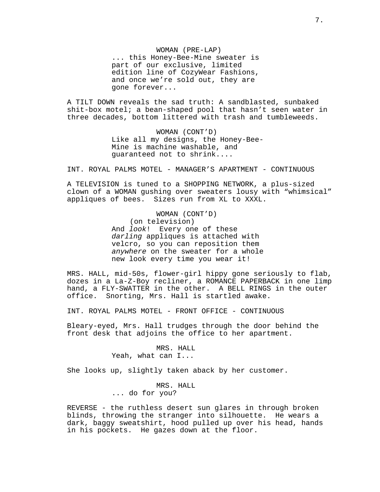WOMAN (PRE-LAP) ... this Honey-Bee-Mine sweater is part of our exclusive, limited edition line of CozyWear Fashions, and once we're sold out, they are gone forever...

A TILT DOWN reveals the sad truth: A sandblasted, sunbaked shit-box motel; a bean-shaped pool that hasn't seen water in three decades, bottom littered with trash and tumbleweeds.

> WOMAN (CONT'D) Like all my designs, the Honey-Bee-Mine is machine washable, and guaranteed not to shrink....

INT. ROYAL PALMS MOTEL - MANAGER'S APARTMENT - CONTINUOUS

A TELEVISION is tuned to a SHOPPING NETWORK, a plus-sized clown of a WOMAN gushing over sweaters lousy with "whimsical" appliques of bees. Sizes run from XL to XXXL.

> WOMAN (CONT'D) (on television) And look! Every one of these darling appliques is attached with velcro, so you can reposition them anywhere on the sweater for a whole new look every time you wear it!

MRS. HALL, mid-50s, flower-girl hippy gone seriously to flab, dozes in a La-Z-Boy recliner, a ROMANCE PAPERBACK in one limp hand, a FLY-SWATTER in the other. A BELL RINGS in the outer office. Snorting, Mrs. Hall is startled awake.

INT. ROYAL PALMS MOTEL - FRONT OFFICE - CONTINUOUS

Bleary-eyed, Mrs. Hall trudges through the door behind the front desk that adjoins the office to her apartment.

> MRS. HALL Yeah, what can I...

She looks up, slightly taken aback by her customer.

MRS. HALL ... do for you?

REVERSE - the ruthless desert sun glares in through broken blinds, throwing the stranger into silhouette. He wears a dark, baggy sweatshirt, hood pulled up over his head, hands in his pockets. He gazes down at the floor.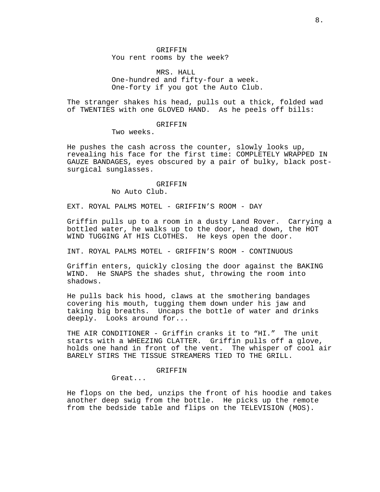GRIFFIN You rent rooms by the week?

MRS. HALL One-hundred and fifty-four a week. One-forty if you got the Auto Club.

The stranger shakes his head, pulls out a thick, folded wad of TWENTIES with one GLOVED HAND. As he peels off bills:

#### **GRIFFIN**

Two weeks.

He pushes the cash across the counter, slowly looks up, revealing his face for the first time: COMPLETELY WRAPPED IN GAUZE BANDAGES, eyes obscured by a pair of bulky, black postsurgical sunglasses.

> GRIFFIN No Auto Club.

EXT. ROYAL PALMS MOTEL - GRIFFIN'S ROOM - DAY

Griffin pulls up to a room in a dusty Land Rover. Carrying a bottled water, he walks up to the door, head down, the HOT WIND TUGGING AT HIS CLOTHES. He keys open the door.

INT. ROYAL PALMS MOTEL - GRIFFIN'S ROOM - CONTINUOUS

Griffin enters, quickly closing the door against the BAKING WIND. He SNAPS the shades shut, throwing the room into shadows.

He pulls back his hood, claws at the smothering bandages covering his mouth, tugging them down under his jaw and taking big breaths. Uncaps the bottle of water and drinks deeply. Looks around for...

THE AIR CONDITIONER - Griffin cranks it to "HI." The unit starts with a WHEEZING CLATTER. Griffin pulls off a glove, holds one hand in front of the vent. The whisper of cool air BARELY STIRS THE TISSUE STREAMERS TIED TO THE GRILL.

## GRIFFIN

Great...

He flops on the bed, unzips the front of his hoodie and takes another deep swig from the bottle. He picks up the remote from the bedside table and flips on the TELEVISION (MOS).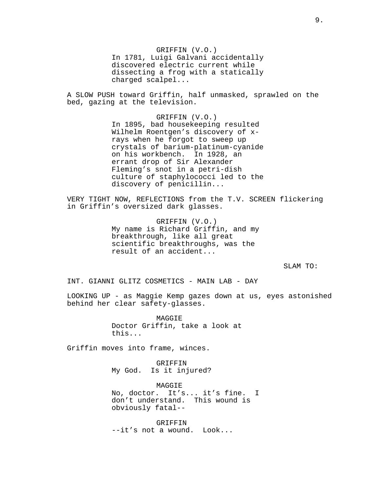GRIFFIN (V.O.) In 1781, Luigi Galvani accidentally discovered electric current while dissecting a frog with a statically charged scalpel...

A SLOW PUSH toward Griffin, half unmasked, sprawled on the bed, gazing at the television.

> GRIFFIN (V.O.) In 1895, bad housekeeping resulted Wilhelm Roentgen's discovery of xrays when he forgot to sweep up crystals of barium-platinum-cyanide on his workbench. In 1928, an errant drop of Sir Alexander Fleming's snot in a petri-dish culture of staphylococci led to the discovery of penicillin...

VERY TIGHT NOW, REFLECTIONS from the T.V. SCREEN flickering in Griffin's oversized dark glasses.

> GRIFFIN (V.O.) My name is Richard Griffin, and my breakthrough, like all great scientific breakthroughs, was the result of an accident...

> > SLAM TO:

INT. GIANNI GLITZ COSMETICS - MAIN LAB - DAY

LOOKING UP - as Maggie Kemp gazes down at us, eyes astonished behind her clear safety-glasses.

> MAGGIE Doctor Griffin, take a look at this...

Griffin moves into frame, winces.

GRIFFIN My God. Is it injured?

MAGGIE No, doctor. It's... it's fine. I don't understand. This wound is obviously fatal--

GRIFFIN --it's not a wound. Look...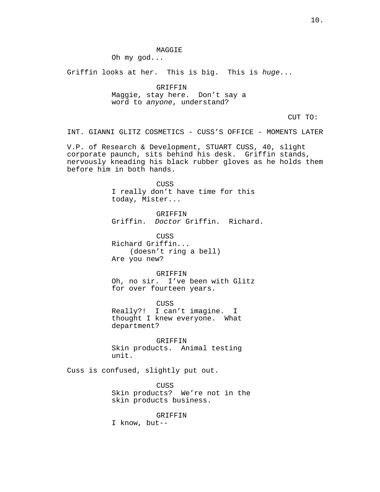MAGGIE

Oh my god...

Griffin looks at her. This is big. This is huge...

GRIFFIN Maggie, stay here. Don't say a word to anyone, understand?

CUT TO:

INT. GIANNI GLITZ COSMETICS - CUSS'S OFFICE - MOMENTS LATER

V.P. of Research & Development, STUART CUSS, 40, slight corporate paunch, sits behind his desk. Griffin stands, nervously kneading his black rubber gloves as he holds them before him in both hands.

> CUSS I really don't have time for this today, Mister...

GRIFFIN Griffin. Doctor Griffin. Richard.

CUSS Richard Griffin... (doesn't ring a bell) Are you new?

GRIFFIN Oh, no sir. I've been with Glitz for over fourteen years.

CUSS Really?! I can't imagine. I thought I knew everyone. What department?

GRIFFIN Skin products. Animal testing unit.

Cuss is confused, slightly put out.

CUSS Skin products? We're not in the skin products business.

GRIFFIN

I know, but--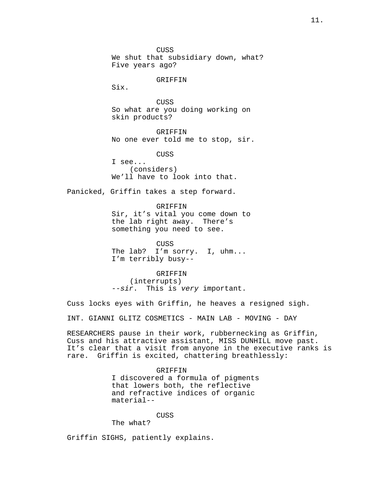CUSS We shut that subsidiary down, what? Five years ago?

#### GRIFFIN

Six.

CUSS So what are you doing working on skin products?

GRIFFIN No one ever told me to stop, sir.

CUSS

I see... (considers) We'll have to look into that.

Panicked, Griffin takes a step forward.

GRIFFIN

Sir, it's vital you come down to the lab right away. There's something you need to see.

CUSS The lab? I'm sorry. I, uhm... I'm terribly busy--

GRIFFIN (interrupts) --sir. This is very important.

Cuss locks eyes with Griffin, he heaves a resigned sigh.

INT. GIANNI GLITZ COSMETICS - MAIN LAB - MOVING - DAY

RESEARCHERS pause in their work, rubbernecking as Griffin, Cuss and his attractive assistant, MISS DUNHILL move past. It's clear that a visit from anyone in the executive ranks is rare. Griffin is excited, chattering breathlessly:

GRIFFIN

I discovered a formula of pigments that lowers both, the reflective and refractive indices of organic material--

CUSS

The what?

Griffin SIGHS, patiently explains.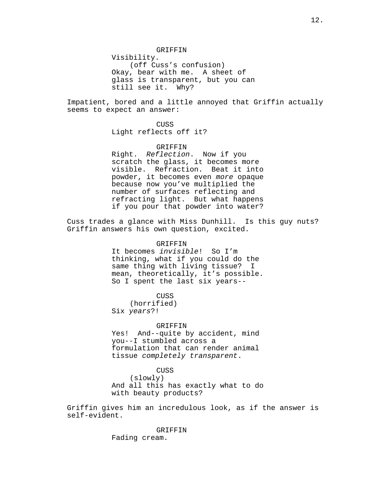Impatient, bored and a little annoyed that Griffin actually seems to expect an answer:

> CUSS Light reflects off it?

## GRIFFIN Right. Reflection. Now if you scratch the glass, it becomes more visible. Refraction. Beat it into powder, it becomes even more opaque because now you've multiplied the number of surfaces reflecting and refracting light. But what happens if you pour that powder into water?

Cuss trades a glance with Miss Dunhill. Is this guy nuts? Griffin answers his own question, excited.

#### GRIFFIN

It becomes invisible! So I'm thinking, what if you could do the same thing with living tissue? I mean, theoretically, it's possible. So I spent the last six years--

#### CUSS

(horrified) Six years?!

#### GRIFFIN

Yes! And--quite by accident, mind you--I stumbled across a formulation that can render animal tissue completely transparent.

## CUSS

(slowly) And all this has exactly what to do with beauty products?

Griffin gives him an incredulous look, as if the answer is self-evident.

> GRIFFIN Fading cream.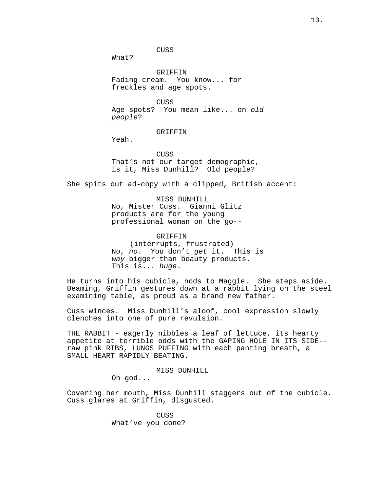CUSS

GRIFFIN Fading cream. You know... for freckles and age spots.

CUSS Age spots? You mean like... on old people?

GRIFFIN

Yeah.

What?

CUSS That's not our target demographic, is it, Miss Dunhill? Old people?

She spits out ad-copy with a clipped, British accent:

MISS DUNHILL No, Mister Cuss. Gianni Glitz products are for the young professional woman on the go--

GRIFFIN (interrupts, frustrated) No, no. You don't get it. This is

way bigger than beauty products. This is... huge.

He turns into his cubicle, nods to Maggie. She steps aside. Beaming, Griffin gestures down at a rabbit lying on the steel examining table, as proud as a brand new father.

Cuss winces. Miss Dunhill's aloof, cool expression slowly clenches into one of pure revulsion.

THE RABBIT - eagerly nibbles a leaf of lettuce, its hearty appetite at terrible odds with the GAPING HOLE IN ITS SIDE- raw pink RIBS, LUNGS PUFFING with each panting breath, a SMALL HEART RAPIDLY BEATING.

MISS DUNHILL

Oh god...

Covering her mouth, Miss Dunhill staggers out of the cubicle. Cuss glares at Griffin, disgusted.

> **CUSS** What've you done?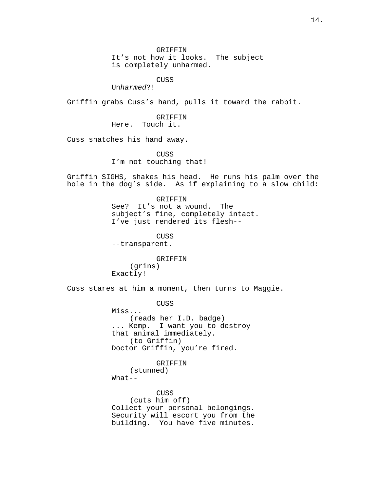GRIFFIN

It's not how it looks. The subject is completely unharmed.

CUSS

Unharmed?!

Griffin grabs Cuss's hand, pulls it toward the rabbit.

GRIFFIN Here. Touch it.

Cuss snatches his hand away.

CUSS I'm not touching that!

Griffin SIGHS, shakes his head. He runs his palm over the hole in the dog's side. As if explaining to a slow child:

> GRIFFIN See? It's not a wound. The subject's fine, completely intact. I've just rendered its flesh--

CUSS --transparent.

GRIFFIN (grins) Exactly!

Cuss stares at him a moment, then turns to Maggie.

CUSS

Miss... (reads her I.D. badge) ... Kemp. I want you to destroy that animal immediately. (to Griffin) Doctor Griffin, you're fired.

GRIFFIN

(stunned)  $What--$ 

CUSS (cuts him off) Collect your personal belongings. Security will escort you from the building. You have five minutes.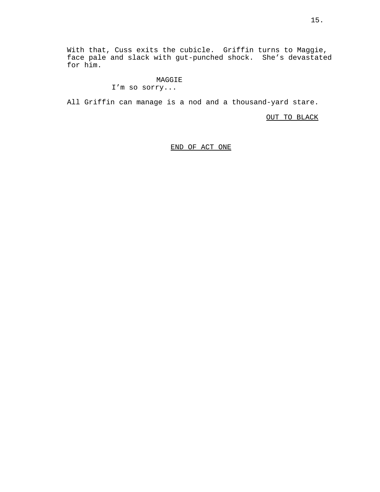With that, Cuss exits the cubicle. Griffin turns to Maggie, face pale and slack with gut-punched shock. She's devastated for him.

## MAGGIE

## I'm so sorry...

All Griffin can manage is a nod and a thousand-yard stare.

OUT TO BLACK

END OF ACT ONE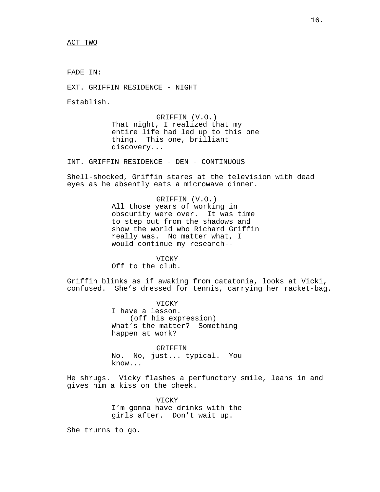ACT TWO

FADE IN:

EXT. GRIFFIN RESIDENCE - NIGHT

Establish.

GRIFFIN (V.O.) That night, I realized that my entire life had led up to this one thing. This one, brilliant discovery...

INT. GRIFFIN RESIDENCE - DEN - CONTINUOUS

Shell-shocked, Griffin stares at the television with dead eyes as he absently eats a microwave dinner.

> GRIFFIN (V.O.) All those years of working in obscurity were over. It was time to step out from the shadows and show the world who Richard Griffin really was. No matter what, I would continue my research--

> > VICKY

Off to the club.

Griffin blinks as if awaking from catatonia, looks at Vicki, confused. She's dressed for tennis, carrying her racket-bag.

> VICKY I have a lesson. (off his expression) What's the matter? Something happen at work?

GRIFFIN No. No, just... typical. You know...

He shrugs. Vicky flashes a perfunctory smile, leans in and gives him a kiss on the cheek.

> VICKY I'm gonna have drinks with the girls after. Don't wait up.

She trurns to go.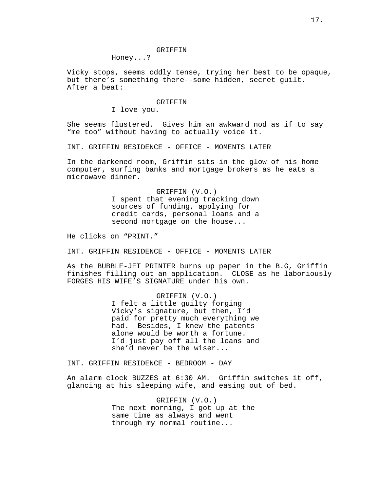#### GRIFFIN

Honey...?

Vicky stops, seems oddly tense, trying her best to be opaque, but there's something there--some hidden, secret guilt. After a beat:

## GRIFFIN

I love you.

She seems flustered. Gives him an awkward nod as if to say "me too" without having to actually voice it.

INT. GRIFFIN RESIDENCE - OFFICE - MOMENTS LATER

In the darkened room, Griffin sits in the glow of his home computer, surfing banks and mortgage brokers as he eats a microwave dinner.

> GRIFFIN (V.O.) I spent that evening tracking down sources of funding, applying for credit cards, personal loans and a second mortgage on the house...

He clicks on "PRINT."

INT. GRIFFIN RESIDENCE - OFFICE - MOMENTS LATER

As the BUBBLE-JET PRINTER burns up paper in the B.G, Griffin finishes filling out an application. CLOSE as he laboriously FORGES HIS WIFE'S SIGNATURE under his own.

> GRIFFIN (V.O.) I felt a little guilty forging Vicky's signature, but then, I'd paid for pretty much everything we had. Besides, I knew the patents alone would be worth a fortune. I'd just pay off all the loans and she'd never be the wiser...

INT. GRIFFIN RESIDENCE - BEDROOM - DAY

An alarm clock BUZZES at 6:30 AM. Griffin switches it off, glancing at his sleeping wife, and easing out of bed.

> GRIFFIN (V.O.) The next morning, I got up at the same time as always and went through my normal routine...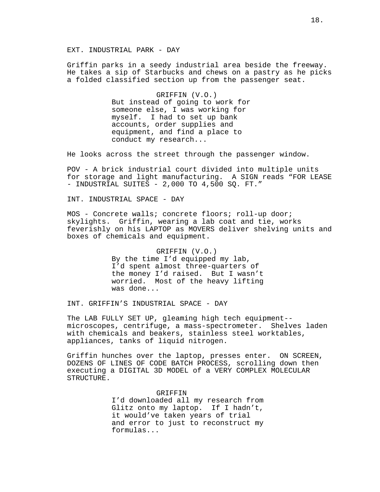EXT. INDUSTRIAL PARK - DAY

Griffin parks in a seedy industrial area beside the freeway. He takes a sip of Starbucks and chews on a pastry as he picks a folded classified section up from the passenger seat.

> GRIFFIN (V.O.) But instead of going to work for someone else, I was working for myself. I had to set up bank accounts, order supplies and equipment, and find a place to conduct my research...

He looks across the street through the passenger window.

POV - A brick industrial court divided into multiple units for storage and light manufacturing. A SIGN reads "FOR LEASE - INDUSTRIAL SUITES - 2,000 TO 4,500 SQ. FT."

INT. INDUSTRIAL SPACE - DAY

MOS - Concrete walls; concrete floors; roll-up door; skylights. Griffin, wearing a lab coat and tie, works feverishly on his LAPTOP as MOVERS deliver shelving units and boxes of chemicals and equipment.

> GRIFFIN (V.O.) By the time I'd equipped my lab, I'd spent almost three-quarters of the money I'd raised. But I wasn't worried. Most of the heavy lifting was done...

INT. GRIFFIN'S INDUSTRIAL SPACE - DAY

The LAB FULLY SET UP, gleaming high tech equipment- microscopes, centrifuge, a mass-spectrometer. Shelves laden with chemicals and beakers, stainless steel worktables, appliances, tanks of liquid nitrogen.

Griffin hunches over the laptop, presses enter. ON SCREEN, DOZENS OF LINES OF CODE BATCH PROCESS, scrolling down then executing a DIGITAL 3D MODEL of a VERY COMPLEX MOLECULAR STRUCTURE.

> GRIFFIN I'd downloaded all my research from Glitz onto my laptop. If I hadn't, it would've taken years of trial and error to just to reconstruct my formulas...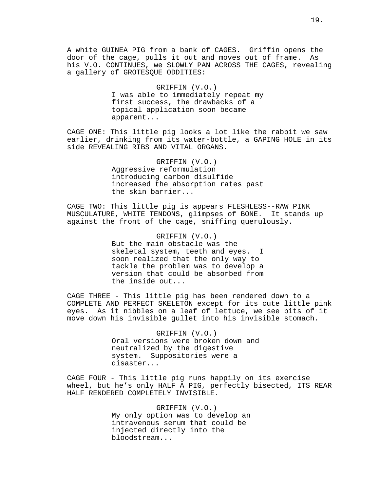A white GUINEA PIG from a bank of CAGES. Griffin opens the door of the cage, pulls it out and moves out of frame. As his V.O. CONTINUES, we SLOWLY PAN ACROSS THE CAGES, revealing a gallery of GROTESQUE ODDITIES:

> GRIFFIN (V.O.) I was able to immediately repeat my first success, the drawbacks of a topical application soon became apparent...

CAGE ONE: This little pig looks a lot like the rabbit we saw earlier, drinking from its water-bottle, a GAPING HOLE in its side REVEALING RIBS AND VITAL ORGANS.

> GRIFFIN (V.O.) Aggressive reformulation introducing carbon disulfide increased the absorption rates past the skin barrier...

CAGE TWO: This little pig is appears FLESHLESS--RAW PINK MUSCULATURE, WHITE TENDONS, glimpses of BONE. It stands up against the front of the cage, sniffing querulously.

> GRIFFIN (V.O.) But the main obstacle was the skeletal system, teeth and eyes. I soon realized that the only way to tackle the problem was to develop a version that could be absorbed from the inside out...

CAGE THREE - This little pig has been rendered down to a COMPLETE AND PERFECT SKELETON except for its cute little pink eyes. As it nibbles on a leaf of lettuce, we see bits of it move down his invisible gullet into his invisible stomach.

> GRIFFIN (V.O.) Oral versions were broken down and neutralized by the digestive system. Suppositories were a disaster...

CAGE FOUR - This little pig runs happily on its exercise wheel, but he's only HALF A PIG, perfectly bisected, ITS REAR HALF RENDERED COMPLETELY INVISIBLE.

> GRIFFIN (V.O.) My only option was to develop an intravenous serum that could be injected directly into the bloodstream...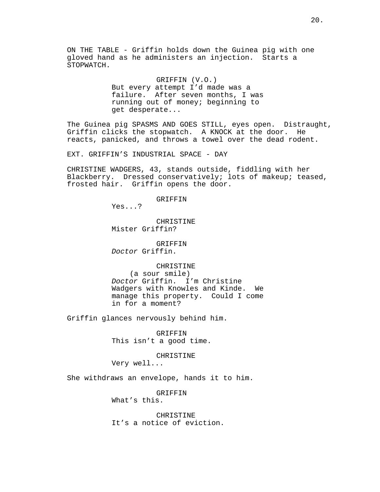ON THE TABLE - Griffin holds down the Guinea pig with one gloved hand as he administers an injection. Starts a STOPWATCH.

#### GRIFFIN (V.O.)

But every attempt I'd made was a failure. After seven months, I was running out of money; beginning to get desperate...

The Guinea pig SPASMS AND GOES STILL, eyes open. Distraught, Griffin clicks the stopwatch. A KNOCK at the door. He reacts, panicked, and throws a towel over the dead rodent.

EXT. GRIFFIN'S INDUSTRIAL SPACE - DAY

CHRISTINE WADGERS, 43, stands outside, fiddling with her Blackberry. Dressed conservatively; lots of makeup; teased, frosted hair. Griffin opens the door.

GRIFFIN

Yes...?

CHRISTINE Mister Griffin?

GRIFFIN Doctor Griffin.

CHRISTINE (a sour smile) Doctor Griffin. I'm Christine Wadgers with Knowles and Kinde. We manage this property. Could I come in for a moment?

Griffin glances nervously behind him.

GRIFFIN This isn't a good time.

CHRISTINE

Very well...

She withdraws an envelope, hands it to him.

GRIFFIN What's this.

CHRISTINE It's a notice of eviction.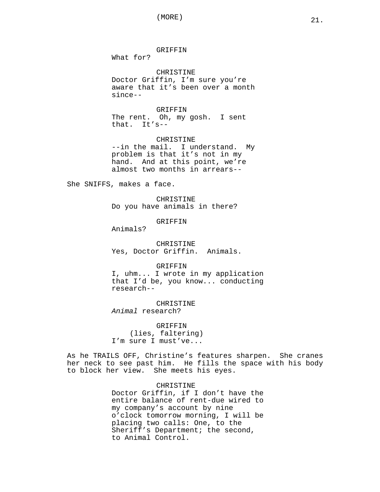GRIFFIN

What for?

CHRISTINE Doctor Griffin, I'm sure you're aware that it's been over a month since--

GRIFFIN The rent. Oh, my gosh. I sent that. It's--

CHRISTINE --in the mail. I understand. My problem is that it's not in my hand. And at this point, we're almost two months in arrears--

She SNIFFS, makes a face.

CHRISTINE Do you have animals in there?

GRIFFIN

Animals?

CHRISTINE Yes, Doctor Griffin. Animals.

GRIFFIN

I, uhm... I wrote in my application that I'd be, you know... conducting research--

CHRISTINE Animal research?

GRIFFIN (lies, faltering) I'm sure I must've...

As he TRAILS OFF, Christine's features sharpen. She cranes her neck to see past him. He fills the space with his body to block her view. She meets his eyes.

## CHRISTINE

Doctor Griffin, if I don't have the entire balance of rent-due wired to my company's account by nine o'clock tomorrow morning, I will be placing two calls: One, to the Sheriff's Department; the second, to Animal Control.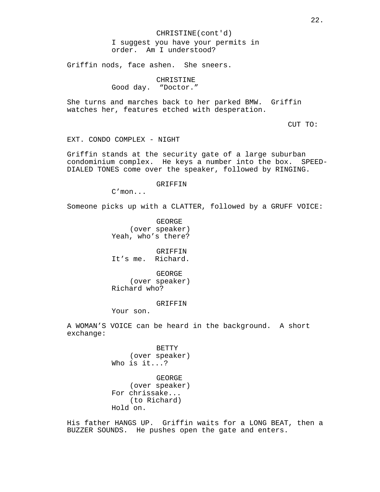CHRISTINE(cont'd) I suggest you have your permits in order. Am I understood?

Griffin nods, face ashen. She sneers.

CHRISTINE Good day. "Doctor."

She turns and marches back to her parked BMW. Griffin watches her, features etched with desperation.

CUT TO:

EXT. CONDO COMPLEX - NIGHT

Griffin stands at the security gate of a large suburban condominium complex. He keys a number into the box. SPEED-DIALED TONES come over the speaker, followed by RINGING.

GRIFFIN

C'mon...

Someone picks up with a CLATTER, followed by a GRUFF VOICE:

GEORGE (over speaker) Yeah, who's there?

**GRIFFIN** It's me. Richard.

GEORGE (over speaker) Richard who?

#### GRIFFIN

Your son.

A WOMAN'S VOICE can be heard in the background. A short exchange:

> BETTY (over speaker) Who is it...?

> GEORGE (over speaker) For chrissake... (to Richard) Hold on.

His father HANGS UP. Griffin waits for a LONG BEAT, then a BUZZER SOUNDS. He pushes open the gate and enters.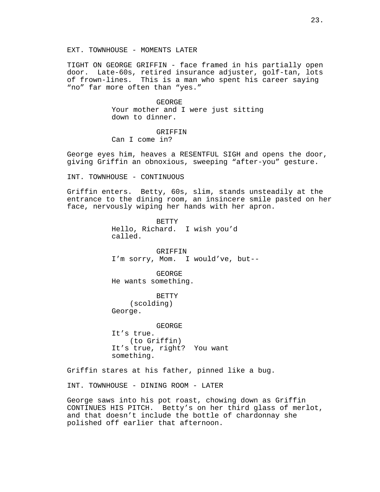TIGHT ON GEORGE GRIFFIN - face framed in his partially open door. Late-60s, retired insurance adjuster, golf-tan, lots of frown-lines. This is a man who spent his career saying "no" far more often than "yes."

> GEORGE Your mother and I were just sitting down to dinner.

GRIFFIN Can I come in?

George eyes him, heaves a RESENTFUL SIGH and opens the door, giving Griffin an obnoxious, sweeping "after-you" gesture.

INT. TOWNHOUSE - CONTINUOUS

Griffin enters. Betty, 60s, slim, stands unsteadily at the entrance to the dining room, an insincere smile pasted on her face, nervously wiping her hands with her apron.

> BETTY Hello, Richard. I wish you'd called.

**GRIFFIN** I'm sorry, Mom. I would've, but--

GEORGE He wants something.

BETTY (scolding) George.

GEORGE It's true. (to Griffin) It's true, right? You want something.

Griffin stares at his father, pinned like a bug.

INT. TOWNHOUSE - DINING ROOM - LATER

George saws into his pot roast, chowing down as Griffin CONTINUES HIS PITCH. Betty's on her third glass of merlot, and that doesn't include the bottle of chardonnay she polished off earlier that afternoon.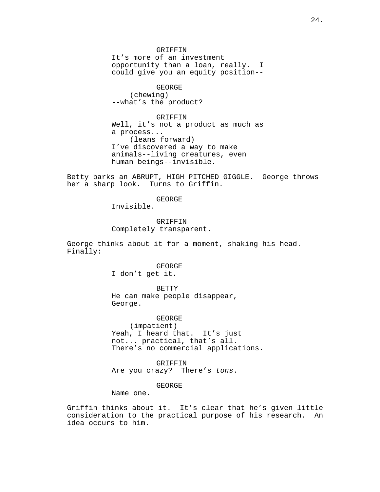GRIFFIN It's more of an investment opportunity than a loan, really. I could give you an equity position--

GEORGE (chewing) --what's the product?

GRIFFIN Well, it's not a product as much as a process... (leans forward) I've discovered a way to make animals--living creatures, even human beings--invisible.

Betty barks an ABRUPT, HIGH PITCHED GIGGLE. George throws her a sharp look. Turns to Griffin.

GEORGE

Invisible.

GRIFFIN Completely transparent.

George thinks about it for a moment, shaking his head. Finally:

> GEORGE I don't get it.

**BETTY** He can make people disappear, George.

GEORGE (impatient) Yeah, I heard that. It's just not... practical, that's all. There's no commercial applications.

GRIFFIN Are you crazy? There's tons.

GEORGE

Name one.

Griffin thinks about it. It's clear that he's given little consideration to the practical purpose of his research. An idea occurs to him.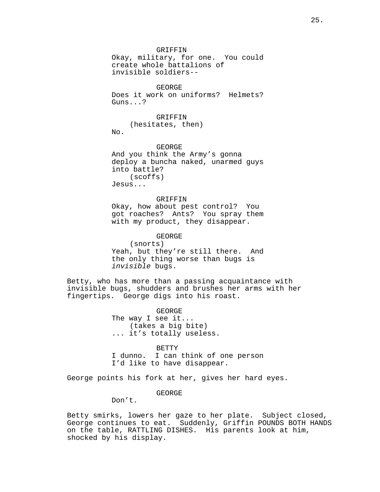GRIFFIN

Okay, military, for one. You could create whole battalions of invisible soldiers--

GEORGE Does it work on uniforms? Helmets? Guns...?

GRIFFIN (hesitates, then)  $N<sub>0</sub>$ .

GEORGE And you think the Army's gonna deploy a buncha naked, unarmed guys into battle? (scoffs) Jesus...

GRIFFIN Okay, how about pest control? You got roaches? Ants? You spray them with my product, they disappear.

## GEORGE

(snorts) Yeah, but they're still there. And the only thing worse than bugs is invisible bugs.

Betty, who has more than a passing acquaintance with invisible bugs, shudders and brushes her arms with her fingertips. George digs into his roast.

> GEORGE The way I see it... (takes a big bite) ... it's totally useless.

#### **BETTY**

I dunno. I can think of one person I'd like to have disappear.

George points his fork at her, gives her hard eyes.

## GEORGE

Don't.

Betty smirks, lowers her gaze to her plate. Subject closed, George continues to eat. Suddenly, Griffin POUNDS BOTH HANDS on the table, RATTLING DISHES. His parents look at him, shocked by his display.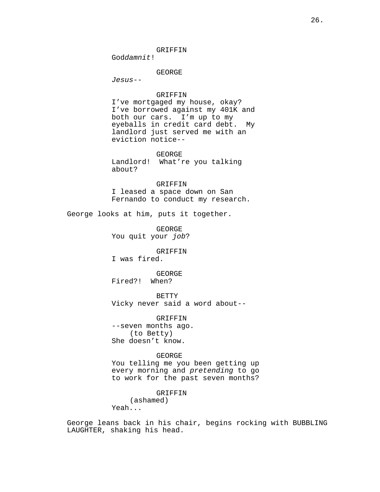GRIFFIN

Goddamnit!

GEORGE

Jesus--

### GRIFFIN

I've mortgaged my house, okay? I've borrowed against my 401K and both our cars. I'm up to my eyeballs in credit card debt. My landlord just served me with an eviction notice--

#### GEORGE

Landlord! What're you talking about?

## GRIFFIN

I leased a space down on San Fernando to conduct my research.

George looks at him, puts it together.

GEORGE You quit your job?

#### **GRIFFIN**

I was fired.

GEORGE Fired?! When?

BETTY Vicky never said a word about--

GRIFFIN --seven months ago. (to Betty) She doesn't know.

## GEORGE

You telling me you been getting up every morning and pretending to go to work for the past seven months?

GRIFFIN

(ashamed)

Yeah...

George leans back in his chair, begins rocking with BUBBLING LAUGHTER, shaking his head.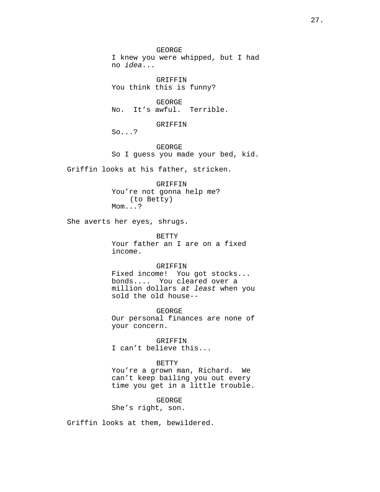GEORGE I knew you were whipped, but I had no idea...

GRIFFIN You think this is funny?

GEORGE No. It's awful. Terrible.

GRIFFIN

So...?

GEORGE So I guess you made your bed, kid.

Griffin looks at his father, stricken.

GRIFFIN You're not gonna help me? (to Betty) Mom...?

She averts her eyes, shrugs.

BETTY Your father an I are on a fixed income.

## GRIFFIN

Fixed income! You got stocks... bonds.... You cleared over a million dollars at least when you sold the old house--

GEORGE Our personal finances are none of your concern.

GRIFFIN I can't believe this...

## BETTY

You're a grown man, Richard. We can't keep bailing you out every time you get in a little trouble.

GEORGE

She's right, son.

Griffin looks at them, bewildered.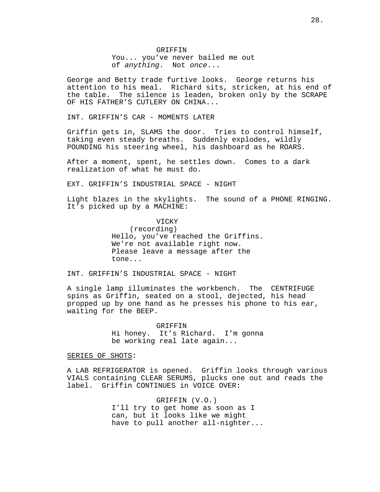GRIFFIN You... you've never bailed me out of anything. Not once...

George and Betty trade furtive looks. George returns his attention to his meal. Richard sits, stricken, at his end of the table. The silence is leaden, broken only by the SCRAPE OF HIS FATHER'S CUTLERY ON CHINA...

INT. GRIFFIN'S CAR - MOMENTS LATER

Griffin gets in, SLAMS the door. Tries to control himself, taking even steady breaths. Suddenly explodes, wildly POUNDING his steering wheel, his dashboard as he ROARS.

After a moment, spent, he settles down. Comes to a dark realization of what he must do.

EXT. GRIFFIN'S INDUSTRIAL SPACE - NIGHT

Light blazes in the skylights. The sound of a PHONE RINGING. It's picked up by a MACHINE:

> VICKY (recording) Hello, you've reached the Griffins. We're not available right now. Please leave a message after the tone...

INT. GRIFFIN'S INDUSTRIAL SPACE - NIGHT

A single lamp illuminates the workbench. The CENTRIFUGE spins as Griffin, seated on a stool, dejected, his head propped up by one hand as he presses his phone to his ear, waiting for the BEEP.

> GRIFFIN Hi honey. It's Richard. I'm gonna be working real late again...

SERIES OF SHOTS:

A LAB REFRIGERATOR is opened. Griffin looks through various VIALS containing CLEAR SERUMS, plucks one out and reads the label. Griffin CONTINUES in VOICE OVER:

> GRIFFIN (V.O.) I'll try to get home as soon as I can, but it looks like we might have to pull another all-nighter...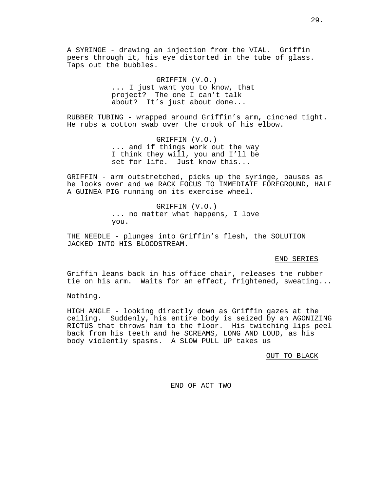A SYRINGE - drawing an injection from the VIAL. Griffin peers through it, his eye distorted in the tube of glass. Taps out the bubbles.

> GRIFFIN (V.O.) ... I just want you to know, that project? The one I can't talk about? It's just about done...

RUBBER TUBING - wrapped around Griffin's arm, cinched tight. He rubs a cotton swab over the crook of his elbow.

> GRIFFIN (V.O.) ... and if things work out the way I think they will, you and I'll be set for life. Just know this...

GRIFFIN - arm outstretched, picks up the syringe, pauses as he looks over and we RACK FOCUS TO IMMEDIATE FOREGROUND, HALF A GUINEA PIG running on its exercise wheel.

> GRIFFIN (V.O.) ... no matter what happens, I love you.

THE NEEDLE - plunges into Griffin's flesh, the SOLUTION JACKED INTO HIS BLOODSTREAM.

#### END SERIES

Griffin leans back in his office chair, releases the rubber tie on his arm. Waits for an effect, frightened, sweating...

Nothing.

HIGH ANGLE - looking directly down as Griffin gazes at the ceiling. Suddenly, his entire body is seized by an AGONIZING RICTUS that throws him to the floor. His twitching lips peel back from his teeth and he SCREAMS, LONG AND LOUD, as his body violently spasms. A SLOW PULL UP takes us

OUT TO BLACK

END OF ACT TWO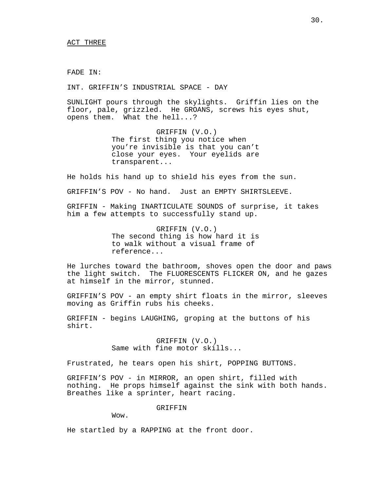FADE IN:

INT. GRIFFIN'S INDUSTRIAL SPACE - DAY

SUNLIGHT pours through the skylights. Griffin lies on the floor, pale, grizzled. He GROANS, screws his eyes shut, opens them. What the hell...?

> GRIFFIN (V.O.) The first thing you notice when you're invisible is that you can't close your eyes. Your eyelids are transparent...

He holds his hand up to shield his eyes from the sun.

GRIFFIN'S POV - No hand. Just an EMPTY SHIRTSLEEVE.

GRIFFIN - Making INARTICULATE SOUNDS of surprise, it takes him a few attempts to successfully stand up.

> GRIFFIN (V.O.) The second thing is how hard it is to walk without a visual frame of reference...

He lurches toward the bathroom, shoves open the door and paws the light switch. The FLUORESCENTS FLICKER ON, and he gazes at himself in the mirror, stunned.

GRIFFIN'S POV - an empty shirt floats in the mirror, sleeves moving as Griffin rubs his cheeks.

GRIFFIN - begins LAUGHING, groping at the buttons of his shirt.

> GRIFFIN (V.O.) Same with fine motor skills...

Frustrated, he tears open his shirt, POPPING BUTTONS.

GRIFFIN'S POV - in MIRROR, an open shirt, filled with nothing. He props himself against the sink with both hands. Breathes like a sprinter, heart racing.

GRIFFIN

Wow.

He startled by a RAPPING at the front door.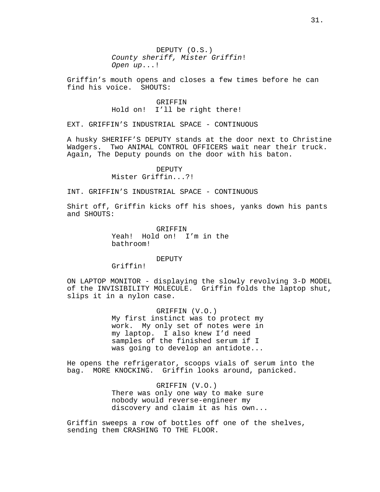DEPUTY (O.S.) County sheriff, Mister Griffin! Open up...!

Griffin's mouth opens and closes a few times before he can find his voice. SHOUTS:

## GRIFFIN Hold on! I'll be right there!

EXT. GRIFFIN'S INDUSTRIAL SPACE - CONTINUOUS

A husky SHERIFF'S DEPUTY stands at the door next to Christine Wadgers. Two ANIMAL CONTROL OFFICERS wait near their truck. Again, The Deputy pounds on the door with his baton.

## DEPUTY

Mister Griffin...?!

INT. GRIFFIN'S INDUSTRIAL SPACE - CONTINUOUS

Shirt off, Griffin kicks off his shoes, yanks down his pants and SHOUTS:

> GRIFFIN Yeah! Hold on! I'm in the bathroom!

#### DEPUTY

Griffin!

ON LAPTOP MONITOR - displaying the slowly revolving 3-D MODEL of the INVISIBILITY MOLECULE. Griffin folds the laptop shut, slips it in a nylon case.

> GRIFFIN (V.O.) My first instinct was to protect my work. My only set of notes were in my laptop. I also knew I'd need samples of the finished serum if I was going to develop an antidote...

He opens the refrigerator, scoops vials of serum into the bag. MORE KNOCKING. Griffin looks around, panicked.

> GRIFFIN (V.O.) There was only one way to make sure nobody would reverse-engineer my discovery and claim it as his own...

Griffin sweeps a row of bottles off one of the shelves, sending them CRASHING TO THE FLOOR.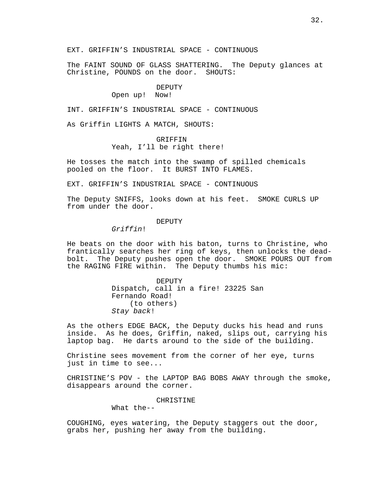EXT. GRIFFIN'S INDUSTRIAL SPACE - CONTINUOUS

The FAINT SOUND OF GLASS SHATTERING. The Deputy glances at Christine, POUNDS on the door. SHOUTS:

#### DEPUTY

## Open up! Now!

INT. GRIFFIN'S INDUSTRIAL SPACE - CONTINUOUS

As Griffin LIGHTS A MATCH, SHOUTS:

## GRIFFIN Yeah, I'll be right there!

He tosses the match into the swamp of spilled chemicals pooled on the floor. It BURST INTO FLAMES.

EXT. GRIFFIN'S INDUSTRIAL SPACE - CONTINUOUS

The Deputy SNIFFS, looks down at his feet. SMOKE CURLS UP from under the door.

## DEPUTY

Griffin!

He beats on the door with his baton, turns to Christine, who frantically searches her ring of keys, then unlocks the deadbolt. The Deputy pushes open the door. SMOKE POURS OUT from the RAGING FIRE within. The Deputy thumbs his mic:

> DEPUTY Dispatch, call in a fire! 23225 San Fernando Road! (to others) Stay back!

As the others EDGE BACK, the Deputy ducks his head and runs inside. As he does, Griffin, naked, slips out, carrying his laptop bag. He darts around to the side of the building.

Christine sees movement from the corner of her eye, turns just in time to see...

CHRISTINE'S POV - the LAPTOP BAG BOBS AWAY through the smoke, disappears around the corner.

CHRISTINE

What the--

COUGHING, eyes watering, the Deputy staggers out the door, grabs her, pushing her away from the building.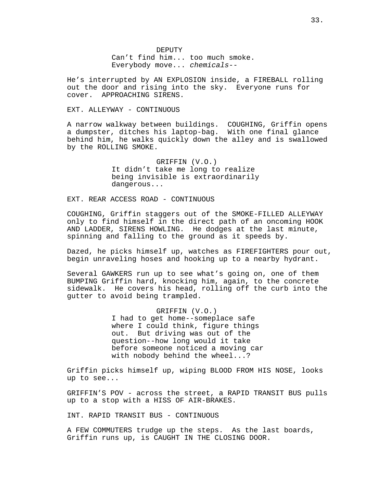DEPUTY Can't find him... too much smoke. Everybody move... chemicals--

He's interrupted by AN EXPLOSION inside, a FIREBALL rolling out the door and rising into the sky. Everyone runs for cover. APPROACHING SIRENS.

## EXT. ALLEYWAY - CONTINUOUS

A narrow walkway between buildings. COUGHING, Griffin opens a dumpster, ditches his laptop-bag. With one final glance behind him, he walks quickly down the alley and is swallowed by the ROLLING SMOKE.

> GRIFFIN (V.O.) It didn't take me long to realize being invisible is extraordinarily dangerous...

EXT. REAR ACCESS ROAD - CONTINUOUS

COUGHING, Griffin staggers out of the SMOKE-FILLED ALLEYWAY only to find himself in the direct path of an oncoming HOOK AND LADDER, SIRENS HOWLING. He dodges at the last minute, spinning and falling to the ground as it speeds by.

Dazed, he picks himself up, watches as FIREFIGHTERS pour out, begin unraveling hoses and hooking up to a nearby hydrant.

Several GAWKERS run up to see what's going on, one of them BUMPING Griffin hard, knocking him, again, to the concrete sidewalk. He covers his head, rolling off the curb into the gutter to avoid being trampled.

> GRIFFIN (V.O.) I had to get home--someplace safe where I could think, figure things out. But driving was out of the question--how long would it take before someone noticed a moving car with nobody behind the wheel...?

Griffin picks himself up, wiping BLOOD FROM HIS NOSE, looks up to see...

GRIFFIN'S POV - across the street, a RAPID TRANSIT BUS pulls up to a stop with a HISS OF AIR-BRAKES.

INT. RAPID TRANSIT BUS - CONTINUOUS

A FEW COMMUTERS trudge up the steps. As the last boards, Griffin runs up, is CAUGHT IN THE CLOSING DOOR.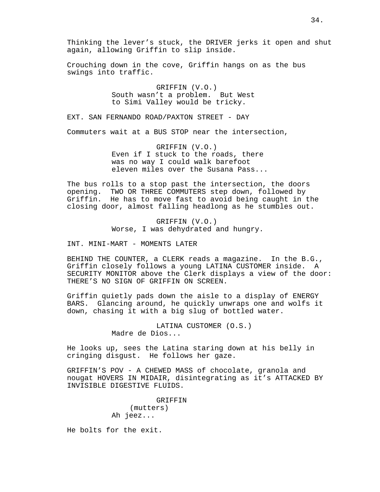Thinking the lever's stuck, the DRIVER jerks it open and shut again, allowing Griffin to slip inside.

Crouching down in the cove, Griffin hangs on as the bus swings into traffic.

> GRIFFIN (V.O.) South wasn't a problem. But West to Simi Valley would be tricky.

EXT. SAN FERNANDO ROAD/PAXTON STREET - DAY

Commuters wait at a BUS STOP near the intersection,

GRIFFIN (V.O.) Even if I stuck to the roads, there was no way I could walk barefoot eleven miles over the Susana Pass...

The bus rolls to a stop past the intersection, the doors opening. TWO OR THREE COMMUTERS step down, followed by Griffin. He has to move fast to avoid being caught in the closing door, almost falling headlong as he stumbles out.

> GRIFFIN (V.O.) Worse, I was dehydrated and hungry.

INT. MINI-MART - MOMENTS LATER

BEHIND THE COUNTER, a CLERK reads a magazine. In the B.G., Griffin closely follows a young LATINA CUSTOMER inside. A SECURITY MONITOR above the Clerk displays a view of the door: THERE'S NO SIGN OF GRIFFIN ON SCREEN.

Griffin quietly pads down the aisle to a display of ENERGY BARS. Glancing around, he quickly unwraps one and wolfs it down, chasing it with a big slug of bottled water.

> LATINA CUSTOMER (O.S.) Madre de Dios...

He looks up, sees the Latina staring down at his belly in cringing disgust. He follows her gaze.

GRIFFIN'S POV - A CHEWED MASS of chocolate, granola and nougat HOVERS IN MIDAIR, disintegrating as it's ATTACKED BY INVISIBLE DIGESTIVE FLUIDS.

> GRIFFIN (mutters) Ah jeez...

He bolts for the exit.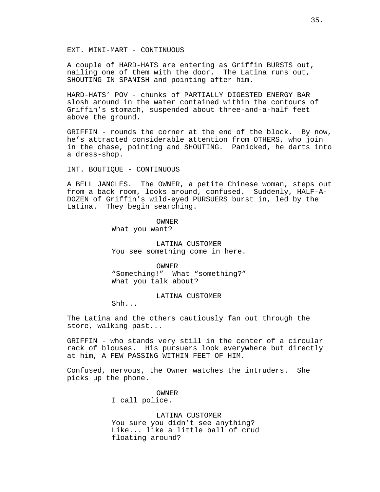EXT. MINI-MART - CONTINUOUS

A couple of HARD-HATS are entering as Griffin BURSTS out, nailing one of them with the door. The Latina runs out, SHOUTING IN SPANISH and pointing after him.

HARD-HATS' POV - chunks of PARTIALLY DIGESTED ENERGY BAR slosh around in the water contained within the contours of Griffin's stomach, suspended about three-and-a-half feet above the ground.

GRIFFIN - rounds the corner at the end of the block. By now, he's attracted considerable attention from OTHERS, who join in the chase, pointing and SHOUTING. Panicked, he darts into a dress-shop.

INT. BOUTIQUE - CONTINUOUS

A BELL JANGLES. The OWNER, a petite Chinese woman, steps out from a back room, looks around, confused. Suddenly, HALF-A-DOZEN of Griffin's wild-eyed PURSUERS burst in, led by the Latina. They begin searching.

OWNER

What you want?

LATINA CUSTOMER You see something come in here.

OWNER

"Something!" What "something?" What you talk about?

## LATINA CUSTOMER

Shh...

The Latina and the others cautiously fan out through the store, walking past...

GRIFFIN - who stands very still in the center of a circular rack of blouses. His pursuers look everywhere but directly at him, A FEW PASSING WITHIN FEET OF HIM.

Confused, nervous, the Owner watches the intruders. She picks up the phone.

OWNER

I call police.

LATINA CUSTOMER You sure you didn't see anything? Like... like a little ball of crud floating around?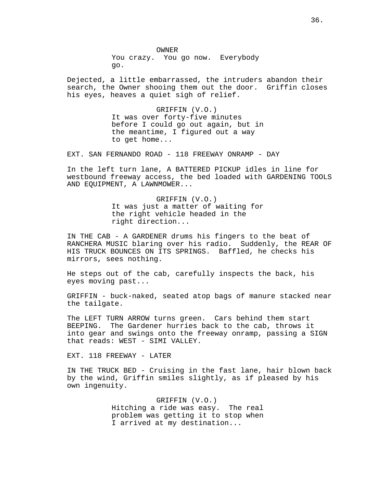OWNER You crazy. You go now. Everybody go.

Dejected, a little embarrassed, the intruders abandon their search, the Owner shooing them out the door. Griffin closes his eyes, heaves a quiet sigh of relief.

> GRIFFIN (V.O.) It was over forty-five minutes before I could go out again, but in the meantime, I figured out a way to get home...

EXT. SAN FERNANDO ROAD - 118 FREEWAY ONRAMP - DAY

In the left turn lane, A BATTERED PICKUP idles in line for westbound freeway access, the bed loaded with GARDENING TOOLS AND EQUIPMENT, A LAWNMOWER...

> GRIFFIN (V.O.) It was just a matter of waiting for the right vehicle headed in the right direction...

IN THE CAB - A GARDENER drums his fingers to the beat of RANCHERA MUSIC blaring over his radio. Suddenly, the REAR OF HIS TRUCK BOUNCES ON ITS SPRINGS. Baffled, he checks his mirrors, sees nothing.

He steps out of the cab, carefully inspects the back, his eyes moving past...

GRIFFIN - buck-naked, seated atop bags of manure stacked near the tailgate.

The LEFT TURN ARROW turns green. Cars behind them start BEEPING. The Gardener hurries back to the cab, throws it into gear and swings onto the freeway onramp, passing a SIGN that reads: WEST - SIMI VALLEY.

EXT. 118 FREEWAY - LATER

IN THE TRUCK BED - Cruising in the fast lane, hair blown back by the wind, Griffin smiles slightly, as if pleased by his own ingenuity.

> GRIFFIN (V.O.) Hitching a ride was easy. The real problem was getting it to stop when I arrived at my destination...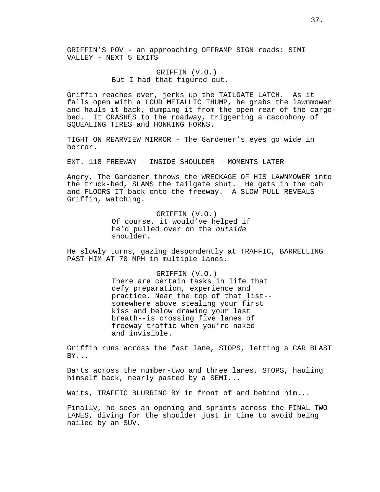GRIFFIN'S POV - an approaching OFFRAMP SIGN reads: SIMI VALLEY - NEXT 5 EXITS

> GRIFFIN (V.O.) But I had that figured out.

Griffin reaches over, jerks up the TAILGATE LATCH. As it falls open with a LOUD METALLIC THUMP, he grabs the lawnmower and hauls it back, dumping it from the open rear of the cargobed. It CRASHES to the roadway, triggering a cacophony of SQUEALING TIRES and HONKING HORNS.

TIGHT ON REARVIEW MIRROR - The Gardener's eyes go wide in horror.

EXT. 118 FREEWAY - INSIDE SHOULDER - MOMENTS LATER

Angry, The Gardener throws the WRECKAGE OF HIS LAWNMOWER into the truck-bed, SLAMS the tailgate shut. He gets in the cab and FLOORS IT back onto the freeway. A SLOW PULL REVEALS Griffin, watching.

> GRIFFIN (V.O.) Of course, it would've helped if he'd pulled over on the outside shoulder.

He slowly turns, gazing despondently at TRAFFIC, BARRELLING PAST HIM AT 70 MPH in multiple lanes.

> GRIFFIN (V.O.) There are certain tasks in life that defy preparation, experience and practice. Near the top of that list- somewhere above stealing your first kiss and below drawing your last breath--is crossing five lanes of freeway traffic when you're naked and invisible.

Griffin runs across the fast lane, STOPS, letting a CAR BLAST BY...

Darts across the number-two and three lanes, STOPS, hauling himself back, nearly pasted by a SEMI...

Waits, TRAFFIC BLURRING BY in front of and behind him...

Finally, he sees an opening and sprints across the FINAL TWO LANES, diving for the shoulder just in time to avoid being nailed by an SUV.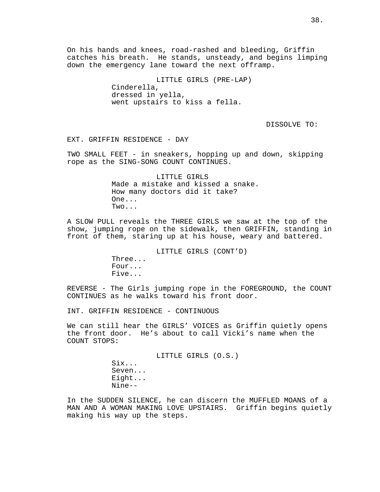On his hands and knees, road-rashed and bleeding, Griffin catches his breath. He stands, unsteady, and begins limping down the emergency lane toward the next offramp.

> LITTLE GIRLS (PRE-LAP) Cinderella, dressed in yella, went upstairs to kiss a fella.

> > DISSOLVE TO:

EXT. GRIFFIN RESIDENCE - DAY

TWO SMALL FEET - in sneakers, hopping up and down, skipping rope as the SING-SONG COUNT CONTINUES.

> LITTLE GIRLS Made a mistake and kissed a snake. How many doctors did it take? One... Two...

A SLOW PULL reveals the THREE GIRLS we saw at the top of the show, jumping rope on the sidewalk, then GRIFFIN, standing in front of them, staring up at his house, weary and battered.

LITTLE GIRLS (CONT'D)

Three... Four... Five...

REVERSE - The Girls jumping rope in the FOREGROUND, the COUNT CONTINUES as he walks toward his front door.

INT. GRIFFIN RESIDENCE - CONTINUOUS

We can still hear the GIRLS' VOICES as Griffin quietly opens the front door. He's about to call Vicki's name when the COUNT STOPS:

> LITTLE GIRLS (O.S.) Six... Seven... Eight... Nine--

In the SUDDEN SILENCE, he can discern the MUFFLED MOANS of a MAN AND A WOMAN MAKING LOVE UPSTAIRS. Griffin begins quietly making his way up the steps.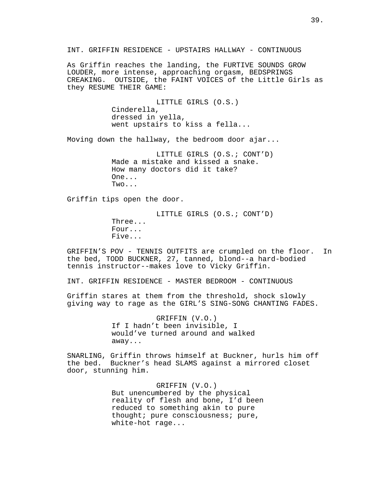INT. GRIFFIN RESIDENCE - UPSTAIRS HALLWAY - CONTINUOUS

As Griffin reaches the landing, the FURTIVE SOUNDS GROW LOUDER, more intense, approaching orgasm, BEDSPRINGS CREAKING. OUTSIDE, the FAINT VOICES of the Little Girls as they RESUME THEIR GAME:

> LITTLE GIRLS (O.S.) Cinderella, dressed in yella, went upstairs to kiss a fella...

Moving down the hallway, the bedroom door ajar...

LITTLE GIRLS (O.S.; CONT'D) Made a mistake and kissed a snake. How many doctors did it take? One... Two...

Griffin tips open the door.

LITTLE GIRLS (O.S.; CONT'D) Three... Four... Five...

GRIFFIN'S POV - TENNIS OUTFITS are crumpled on the floor. In the bed, TODD BUCKNER, 27, tanned, blond--a hard-bodied tennis instructor--makes love to Vicky Griffin.

INT. GRIFFIN RESIDENCE - MASTER BEDROOM - CONTINUOUS

Griffin stares at them from the threshold, shock slowly giving way to rage as the GIRL'S SING-SONG CHANTING FADES.

> GRIFFIN (V.O.) If I hadn't been invisible, I would've turned around and walked away...

SNARLING, Griffin throws himself at Buckner, hurls him off the bed. Buckner's head SLAMS against a mirrored closet door, stunning him.

> GRIFFIN (V.O.) But unencumbered by the physical reality of flesh and bone, I'd been reduced to something akin to pure thought; pure consciousness; pure, white-hot rage...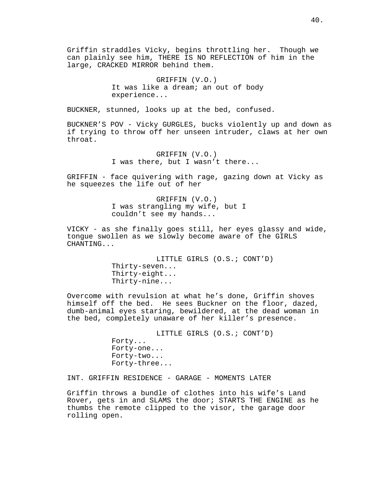Griffin straddles Vicky, begins throttling her. Though we can plainly see him, THERE IS NO REFLECTION of him in the large, CRACKED MIRROR behind them.

> GRIFFIN (V.O.) It was like a dream; an out of body experience...

BUCKNER, stunned, looks up at the bed, confused.

BUCKNER'S POV - Vicky GURGLES, bucks violently up and down as if trying to throw off her unseen intruder, claws at her own throat.

> GRIFFIN (V.O.) I was there, but I wasn't there...

GRIFFIN - face quivering with rage, gazing down at Vicky as he squeezes the life out of her

> GRIFFIN (V.O.) I was strangling my wife, but I couldn't see my hands...

VICKY - as she finally goes still, her eyes glassy and wide, tongue swollen as we slowly become aware of the GIRLS CHANTING...

> LITTLE GIRLS (O.S.; CONT'D) Thirty-seven... Thirty-eight... Thirty-nine...

Overcome with revulsion at what he's done, Griffin shoves himself off the bed. He sees Buckner on the floor, dazed, dumb-animal eyes staring, bewildered, at the dead woman in the bed, completely unaware of her killer's presence.

> LITTLE GIRLS (O.S.; CONT'D) Forty... Forty-one... Forty-two... Forty-three...

INT. GRIFFIN RESIDENCE - GARAGE - MOMENTS LATER

Griffin throws a bundle of clothes into his wife's Land Rover, gets in and SLAMS the door; STARTS THE ENGINE as he thumbs the remote clipped to the visor, the garage door rolling open.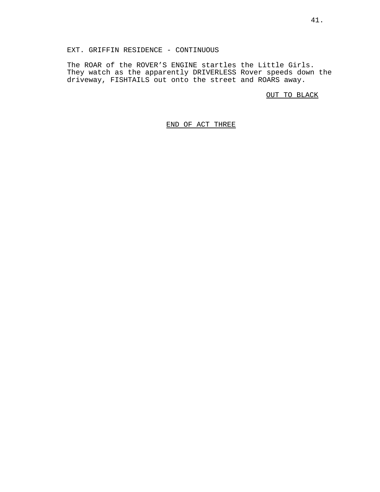The ROAR of the ROVER'S ENGINE startles the Little Girls. They watch as the apparently DRIVERLESS Rover speeds down the driveway, FISHTAILS out onto the street and ROARS away.

OUT TO BLACK

# END OF ACT THREE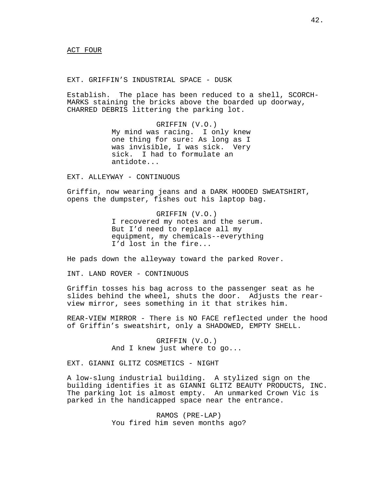EXT. GRIFFIN'S INDUSTRIAL SPACE - DUSK

Establish. The place has been reduced to a shell, SCORCH-MARKS staining the bricks above the boarded up doorway, CHARRED DEBRIS littering the parking lot.

> GRIFFIN (V.O.) My mind was racing. I only knew one thing for sure: As long as I was invisible, I was sick. Very sick. I had to formulate an antidote...

EXT. ALLEYWAY - CONTINUOUS

Griffin, now wearing jeans and a DARK HOODED SWEATSHIRT, opens the dumpster, fishes out his laptop bag.

> GRIFFIN (V.O.) I recovered my notes and the serum. But I'd need to replace all my equipment, my chemicals--everything I'd lost in the fire...

He pads down the alleyway toward the parked Rover.

INT. LAND ROVER - CONTINUOUS

Griffin tosses his bag across to the passenger seat as he slides behind the wheel, shuts the door. Adjusts the rearview mirror, sees something in it that strikes him.

REAR-VIEW MIRROR - There is NO FACE reflected under the hood of Griffin's sweatshirt, only a SHADOWED, EMPTY SHELL.

> GRIFFIN (V.O.) And I knew just where to go...

EXT. GIANNI GLITZ COSMETICS - NIGHT

A low-slung industrial building. A stylized sign on the building identifies it as GIANNI GLITZ BEAUTY PRODUCTS, INC. The parking lot is almost empty. An unmarked Crown Vic is parked in the handicapped space near the entrance.

> RAMOS (PRE-LAP) You fired him seven months ago?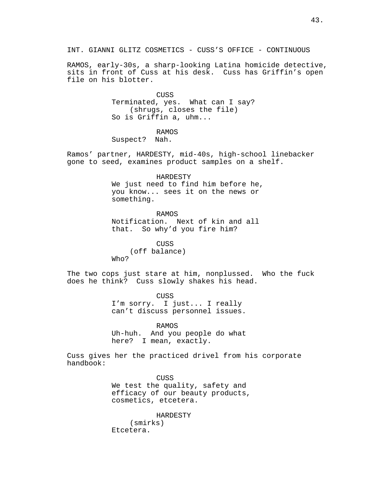INT. GIANNI GLITZ COSMETICS - CUSS'S OFFICE - CONTINUOUS

RAMOS, early-30s, a sharp-looking Latina homicide detective, sits in front of Cuss at his desk. Cuss has Griffin's open file on his blotter.

> CUSS Terminated, yes. What can I say? (shrugs, closes the file) So is Griffin a, uhm...

RAMOS Suspect? Nah.

Ramos' partner, HARDESTY, mid-40s, high-school linebacker gone to seed, examines product samples on a shelf.

> HARDESTY We just need to find him before he, you know... sees it on the news or something.

RAMOS Notification. Next of kin and all that. So why'd you fire him?

CUSS (off balance) Who?

The two cops just stare at him, nonplussed. Who the fuck does he think? Cuss slowly shakes his head.

> CUSS I'm sorry. I just... I really can't discuss personnel issues.

> RAMOS Uh-huh. And you people do what here? I mean, exactly.

Cuss gives her the practiced drivel from his corporate handbook:

> CUSS We test the quality, safety and efficacy of our beauty products, cosmetics, etcetera.

HARDESTY (smirks) Etcetera.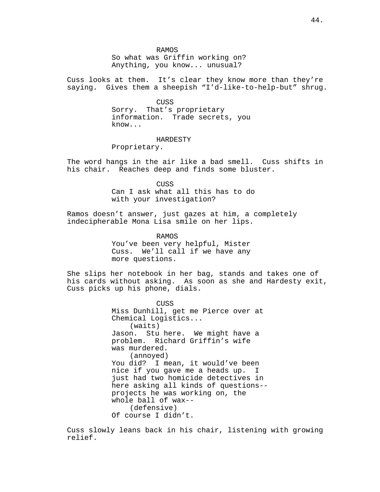RAMOS

So what was Griffin working on? Anything, you know... unusual?

Cuss looks at them. It's clear they know more than they're saying. Gives them a sheepish "I'd-like-to-help-but" shrug.

CUSS

Sorry. That's proprietary information. Trade secrets, you know...

HARDESTY

Proprietary.

The word hangs in the air like a bad smell. Cuss shifts in his chair. Reaches deep and finds some bluster.

> **CUSS** Can I ask what all this has to do with your investigation?

Ramos doesn't answer, just gazes at him, a completely indecipherable Mona Lisa smile on her lips.

RAMOS

You've been very helpful, Mister Cuss. We'll call if we have any more questions.

She slips her notebook in her bag, stands and takes one of his cards without asking. As soon as she and Hardesty exit, Cuss picks up his phone, dials.

> CUSS Miss Dunhill, get me Pierce over at Chemical Logistics... (waits) Jason. Stu here. We might have a problem. Richard Griffin's wife was murdered. (annoyed) You did? I mean, it would've been nice if you gave me a heads up. I just had two homicide detectives in here asking all kinds of questions- projects he was working on, the whole ball of wax-- (defensive) Of course I didn't.

Cuss slowly leans back in his chair, listening with growing relief.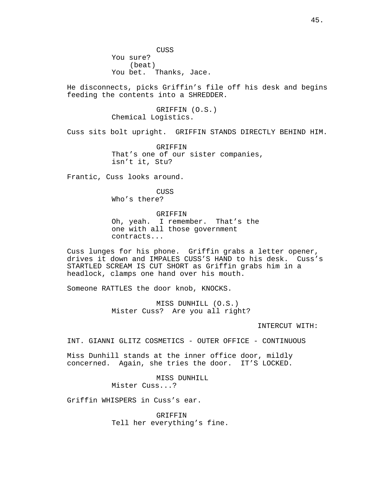CUSS You sure? (beat) You bet. Thanks, Jace.

He disconnects, picks Griffin's file off his desk and begins feeding the contents into a SHREDDER.

> GRIFFIN (O.S.) Chemical Logistics.

Cuss sits bolt upright. GRIFFIN STANDS DIRECTLY BEHIND HIM.

GRIFFIN That's one of our sister companies, isn't it, Stu?

Frantic, Cuss looks around.

CUSS Who's there?

GRIFFIN

Oh, yeah. I remember. That's the one with all those government contracts...

Cuss lunges for his phone. Griffin grabs a letter opener, drives it down and IMPALES CUSS'S HAND to his desk. Cuss's STARTLED SCREAM IS CUT SHORT as Griffin grabs him in a headlock, clamps one hand over his mouth.

Someone RATTLES the door knob, KNOCKS.

MISS DUNHILL (O.S.) Mister Cuss? Are you all right?

INTERCUT WITH:

INT. GIANNI GLITZ COSMETICS - OUTER OFFICE - CONTINUOUS

Miss Dunhill stands at the inner office door, mildly concerned. Again, she tries the door. IT'S LOCKED.

> MISS DUNHILL Mister Cuss...?

Griffin WHISPERS in Cuss's ear.

**GRIFFIN** Tell her everything's fine.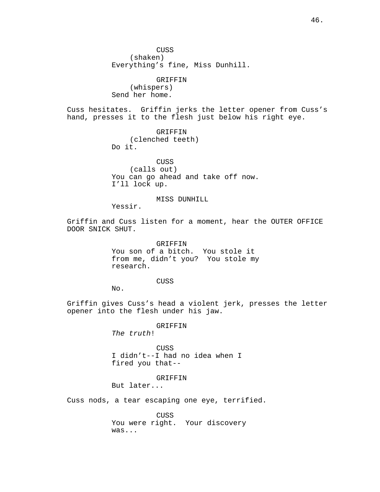CUSS (shaken) Everything's fine, Miss Dunhill.

GRIFFIN (whispers) Send her home.

Cuss hesitates. Griffin jerks the letter opener from Cuss's hand, presses it to the flesh just below his right eye.

> GRIFFIN (clenched teeth) Do it.

CUSS (calls out) You can go ahead and take off now. I'll lock up.

# MISS DUNHILL

Yessir.

Griffin and Cuss listen for a moment, hear the OUTER OFFICE DOOR SNICK SHUT.

> GRIFFIN You son of a bitch. You stole it from me, didn't you? You stole my research.

> > CUSS

No.

Griffin gives Cuss's head a violent jerk, presses the letter opener into the flesh under his jaw.

GRIFFIN

The truth!

CUSS I didn't--I had no idea when I fired you that--

#### GRIFFIN

But later...

Cuss nods, a tear escaping one eye, terrified.

CUSS You were right. Your discovery was...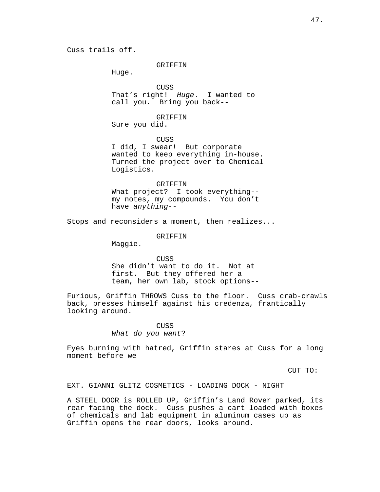## GRIFFIN

Huge.

CUSS That's right! Huge. I wanted to call you. Bring you back--

GRIFFIN

Sure you did.

CUSS

I did, I swear! But corporate wanted to keep everything in-house. Turned the project over to Chemical Logistics.

## GRIFFIN

What project? I took everything- my notes, my compounds. You don't have anything--

Stops and reconsiders a moment, then realizes...

GRIFFIN

Maggie.

CUSS She didn't want to do it. Not at first. But they offered her a team, her own lab, stock options--

Furious, Griffin THROWS Cuss to the floor. Cuss crab-crawls back, presses himself against his credenza, frantically looking around.

## CUSS What do you want?

Eyes burning with hatred, Griffin stares at Cuss for a long moment before we

CUT TO:

EXT. GIANNI GLITZ COSMETICS - LOADING DOCK - NIGHT

A STEEL DOOR is ROLLED UP, Griffin's Land Rover parked, its rear facing the dock. Cuss pushes a cart loaded with boxes of chemicals and lab equipment in aluminum cases up as Griffin opens the rear doors, looks around.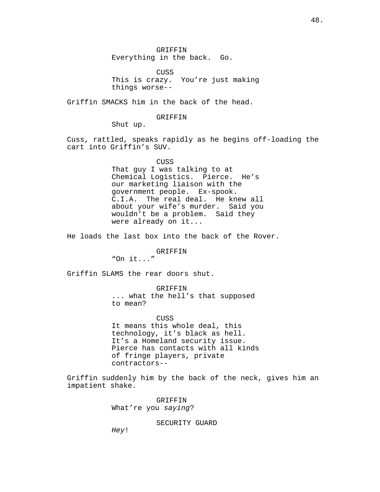GRIFFIN Everything in the back. Go.

CUSS This is crazy. You're just making things worse--

Griffin SMACKS him in the back of the head.

GRIFFIN

Shut up.

Cuss, rattled, speaks rapidly as he begins off-loading the cart into Griffin's SUV.

> CUSS That guy I was talking to at Chemical Logistics. Pierce. He's our marketing liaison with the government people. Ex-spook. C.I.A. The real deal. He knew all about your wife's murder. Said you wouldn't be a problem. Said they were already on it...

He loads the last box into the back of the Rover.

#### GRIFFIN

"On it..."

Griffin SLAMS the rear doors shut.

GRIFFIN ... what the hell's that supposed to mean?

CUSS

It means this whole deal, this technology, it's black as hell. It's a Homeland security issue. Pierce has contacts with all kinds of fringe players, private contractors--

Griffin suddenly him by the back of the neck, gives him an impatient shake.

> GRIFFIN What're you saying?

> > SECURITY GUARD

Hey!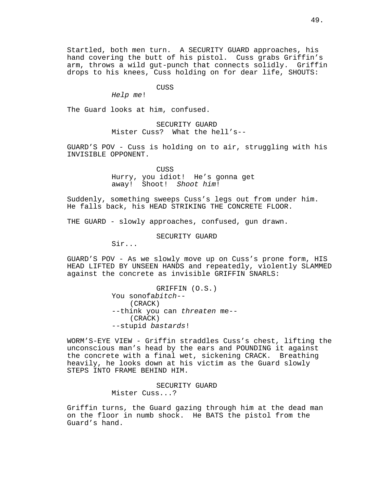Startled, both men turn. A SECURITY GUARD approaches, his hand covering the butt of his pistol. Cuss grabs Griffin's arm, throws a wild gut-punch that connects solidly. Griffin drops to his knees, Cuss holding on for dear life, SHOUTS:

### CUSS

Help me!

The Guard looks at him, confused.

SECURITY GUARD Mister Cuss? What the hell's--

GUARD'S POV - Cuss is holding on to air, struggling with his INVISIBLE OPPONENT.

> **CUSS** Hurry, you idiot! He's gonna get away! Shoot! Shoot him!

Suddenly, something sweeps Cuss's legs out from under him. He falls back, his HEAD STRIKING THE CONCRETE FLOOR.

THE GUARD - slowly approaches, confused, gun drawn.

SECURITY GUARD

Sir...

GUARD'S POV - As we slowly move up on Cuss's prone form, HIS HEAD LIFTED BY UNSEEN HANDS and repeatedly, violently SLAMMED against the concrete as invisible GRIFFIN SNARLS:

> GRIFFIN (O.S.) You sonofabitch-- (CRACK) --think you can threaten me-- (CRACK) --stupid bastards!

WORM'S-EYE VIEW - Griffin straddles Cuss's chest, lifting the unconscious man's head by the ears and POUNDING it against the concrete with a final wet, sickening CRACK. Breathing heavily, he looks down at his victim as the Guard slowly STEPS INTO FRAME BEHIND HIM.

> SECURITY GUARD Mister Cuss...?

Griffin turns, the Guard gazing through him at the dead man on the floor in numb shock. He BATS the pistol from the Guard's hand.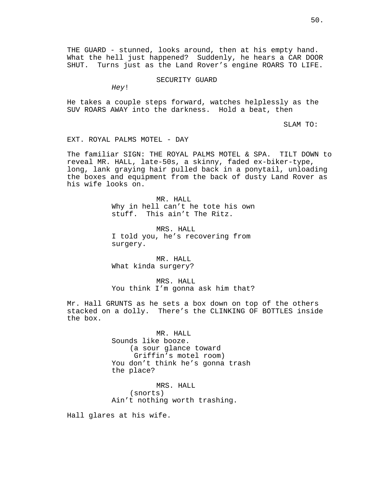THE GUARD - stunned, looks around, then at his empty hand. What the hell just happened? Suddenly, he hears a CAR DOOR SHUT. Turns just as the Land Rover's engine ROARS TO LIFE.

SECURITY GUARD

Hey!

He takes a couple steps forward, watches helplessly as the SUV ROARS AWAY into the darkness. Hold a beat, then

SLAM TO:

EXT. ROYAL PALMS MOTEL - DAY

The familiar SIGN: THE ROYAL PALMS MOTEL & SPA. TILT DOWN to reveal MR. HALL, late-50s, a skinny, faded ex-biker-type, long, lank graying hair pulled back in a ponytail, unloading the boxes and equipment from the back of dusty Land Rover as his wife looks on.

> MR. HALL Why in hell can't he tote his own stuff. This ain't The Ritz.

MRS. HALL I told you, he's recovering from surgery.

MR. HALL What kinda surgery?

MRS. HALL You think I'm gonna ask him that?

Mr. Hall GRUNTS as he sets a box down on top of the others stacked on a dolly. There's the CLINKING OF BOTTLES inside the box.

> MR. HALL Sounds like booze. (a sour glance toward Griffin's motel room) You don't think he's gonna trash the place?

MRS. HALL (snorts) Ain't nothing worth trashing.

Hall glares at his wife.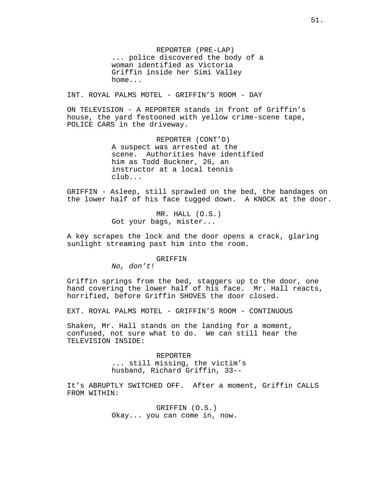REPORTER (PRE-LAP) ... police discovered the body of a woman identified as Victoria Griffin inside her Simi Valley home...

INT. ROYAL PALMS MOTEL - GRIFFIN'S ROOM - DAY

ON TELEVISION - A REPORTER stands in front of Griffin's house, the yard festooned with yellow crime-scene tape, POLICE CARS in the driveway.

> REPORTER (CONT'D) A suspect was arrested at the scene. Authorities have identified him as Todd Buckner, 26, an instructor at a local tennis club...

GRIFFIN - Asleep, still sprawled on the bed, the bandages on the lower half of his face tugged down. A KNOCK at the door.

> MR. HALL (O.S.) Got your bags, mister...

A key scrapes the lock and the door opens a crack, glaring sunlight streaming past him into the room.

### GRIFFIN

No, don't!

Griffin springs from the bed, staggers up to the door, one hand covering the lower half of his face. Mr. Hall reacts, horrified, before Griffin SHOVES the door closed.

EXT. ROYAL PALMS MOTEL - GRIFFIN'S ROOM - CONTINUOUS

Shaken, Mr. Hall stands on the landing for a moment, confused, not sure what to do. We can still hear the TELEVISION INSIDE:

> REPORTER ... still missing, the victim's husband, Richard Griffin, 33--

It's ABRUPTLY SWITCHED OFF. After a moment, Griffin CALLS FROM WITHIN:

> GRIFFIN (O.S.) Okay... you can come in, now.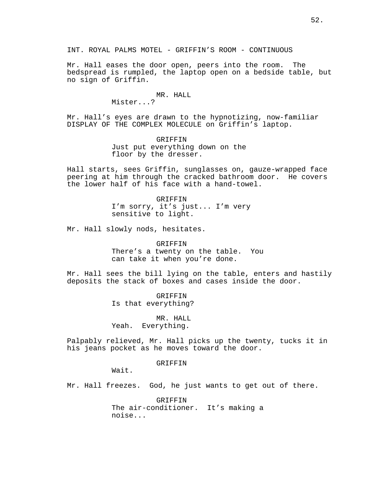INT. ROYAL PALMS MOTEL - GRIFFIN'S ROOM - CONTINUOUS

Mr. Hall eases the door open, peers into the room. The bedspread is rumpled, the laptop open on a bedside table, but no sign of Griffin.

### MR. HALL

Mister...?

Mr. Hall's eyes are drawn to the hypnotizing, now-familiar DISPLAY OF THE COMPLEX MOLECULE on Griffin's laptop.

> GRIFFIN Just put everything down on the floor by the dresser.

Hall starts, sees Griffin, sunglasses on, gauze-wrapped face peering at him through the cracked bathroom door. He covers the lower half of his face with a hand-towel.

> GRIFFIN I'm sorry, it's just... I'm very sensitive to light.

Mr. Hall slowly nods, hesitates.

GRIFFIN There's a twenty on the table. You

can take it when you're done.

Mr. Hall sees the bill lying on the table, enters and hastily deposits the stack of boxes and cases inside the door.

> GRIFFIN Is that everything?

MR. HALL Yeah. Everything.

Palpably relieved, Mr. Hall picks up the twenty, tucks it in his jeans pocket as he moves toward the door.

## GRIFFIN

Wait.

Mr. Hall freezes. God, he just wants to get out of there.

GRIFFIN The air-conditioner. It's making a noise...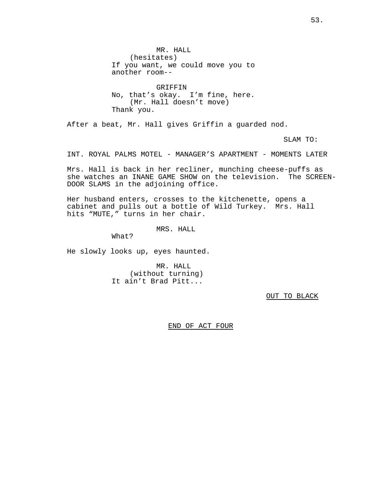MR. HALL (hesitates) If you want, we could move you to another room--

GRIFFIN No, that's okay. I'm fine, here. (Mr. Hall doesn't move) Thank you.

After a beat, Mr. Hall gives Griffin a guarded nod.

SLAM TO:

INT. ROYAL PALMS MOTEL - MANAGER'S APARTMENT - MOMENTS LATER

Mrs. Hall is back in her recliner, munching cheese-puffs as she watches an INANE GAME SHOW on the television. The SCREEN-DOOR SLAMS in the adjoining office.

Her husband enters, crosses to the kitchenette, opens a cabinet and pulls out a bottle of Wild Turkey. Mrs. Hall hits "MUTE," turns in her chair.

MRS. HALL

What?

He slowly looks up, eyes haunted.

MR. HALL (without turning) It ain't Brad Pitt...

OUT TO BLACK

END OF ACT FOUR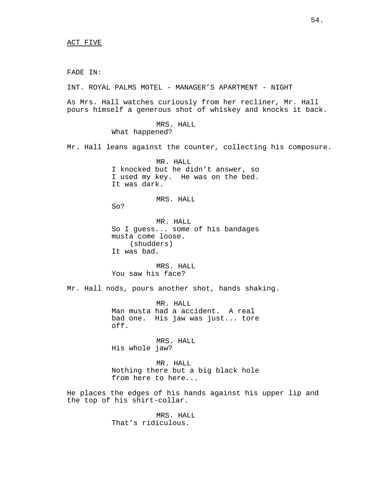FADE IN:

INT. ROYAL PALMS MOTEL - MANAGER'S APARTMENT - NIGHT

As Mrs. Hall watches curiously from her recliner, Mr. Hall pours himself a generous shot of whiskey and knocks it back.

> MRS. HALL What happened?

Mr. Hall leans against the counter, collecting his composure.

MR. HALL I knocked but he didn't answer, so I used my key. He was on the bed. It was dark.

MRS. HALL

So?

MR. HALL So I guess... some of his bandages musta come loose. (shudders) It was bad.

MRS. HALL You saw his face?

Mr. Hall nods, pours another shot, hands shaking.

MR. HALL Man musta had a accident. A real bad one. His jaw was just... tore off.

MRS. HALL His whole jaw?

MR. HALL Nothing there but a big black hole from here to here...

He places the edges of his hands against his upper lip and the top of his shirt-collar.

> MRS. HALL That's ridiculous.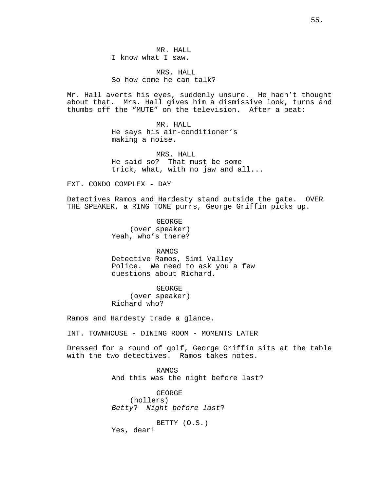MR. HALL I know what I saw.

MRS. HALL So how come he can talk?

Mr. Hall averts his eyes, suddenly unsure. He hadn't thought about that. Mrs. Hall gives him a dismissive look, turns and thumbs off the "MUTE" on the television. After a beat:

> MR. HALL He says his air-conditioner's making a noise.

MRS. HALL He said so? That must be some trick, what, with no jaw and all...

EXT. CONDO COMPLEX - DAY

Detectives Ramos and Hardesty stand outside the gate. OVER THE SPEAKER, a RING TONE purrs, George Griffin picks up.

> GEORGE (over speaker) Yeah, who's there?

RAMOS Detective Ramos, Simi Valley Police. We need to ask you a few questions about Richard.

GEORGE (over speaker) Richard who?

Ramos and Hardesty trade a glance.

INT. TOWNHOUSE - DINING ROOM - MOMENTS LATER

Dressed for a round of golf, George Griffin sits at the table with the two detectives. Ramos takes notes.

> RAMOS And this was the night before last?

GEORGE (hollers) Betty? Night before last?

BETTY (O.S.) Yes, dear!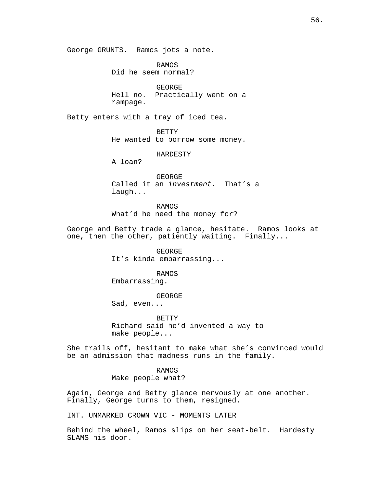George GRUNTS. Ramos jots a note.

RAMOS Did he seem normal?

GEORGE Hell no. Practically went on a rampage.

Betty enters with a tray of iced tea.

**BETTY** He wanted to borrow some money.

HARDESTY

A loan?

GEORGE Called it an investment. That's a laugh...

RAMOS What'd he need the money for?

George and Betty trade a glance, hesitate. Ramos looks at one, then the other, patiently waiting. Finally...

> GEORGE It's kinda embarrassing...

RAMOS Embarrassing.

GEORGE

Sad, even...

**BETTY** Richard said he'd invented a way to make people...

She trails off, hesitant to make what she's convinced would be an admission that madness runs in the family.

> RAMOS Make people what?

Again, George and Betty glance nervously at one another. Finally, George turns to them, resigned.

INT. UNMARKED CROWN VIC - MOMENTS LATER

Behind the wheel, Ramos slips on her seat-belt. Hardesty SLAMS his door.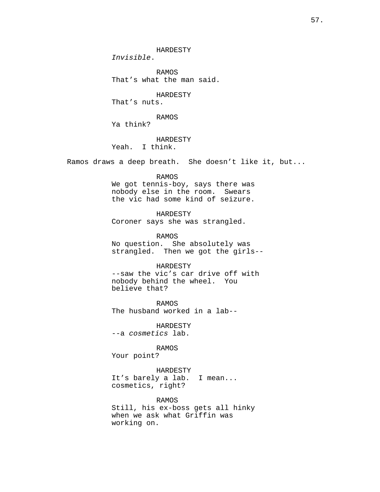HARDESTY

Invisible.

RAMOS That's what the man said.

HARDESTY

That's nuts.

RAMOS

Ya think?

HARDESTY

Yeah. I think.

Ramos draws a deep breath. She doesn't like it, but...

RAMOS

We got tennis-boy, says there was nobody else in the room. Swears the vic had some kind of seizure.

HARDESTY

Coroner says she was strangled.

RAMOS

No question. She absolutely was strangled. Then we got the girls--

## HARDESTY

--saw the vic's car drive off with nobody behind the wheel. You believe that?

RAMOS The husband worked in a lab--

HARDESTY --a cosmetics lab.

RAMOS

Your point?

HARDESTY It's barely a lab. I mean... cosmetics, right?

RAMOS

Still, his ex-boss gets all hinky when we ask what Griffin was working on.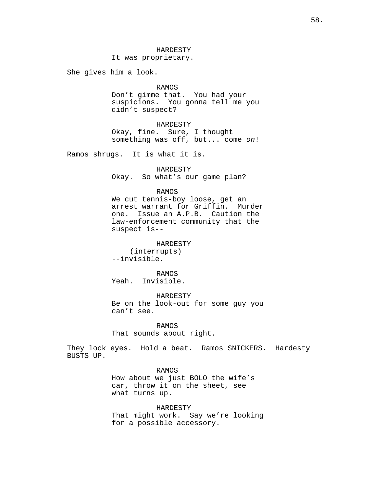It was proprietary.

She gives him a look.

## RAMOS

Don't gimme that. You had your suspicions. You gonna tell me you didn't suspect?

HARDESTY Okay, fine. Sure, I thought something was off, but... come on!

Ramos shrugs. It is what it is.

HARDESTY Okay. So what's our game plan?

### RAMOS

We cut tennis-boy loose, get an arrest warrant for Griffin. Murder one. Issue an A.P.B. Caution the law-enforcement community that the suspect is--

HARDESTY (interrupts) --invisible.

RAMOS Yeah. Invisible.

HARDESTY Be on the look-out for some guy you can't see.

RAMOS That sounds about right.

They lock eyes. Hold a beat. Ramos SNICKERS. Hardesty BUSTS UP.

### RAMOS

How about we just BOLO the wife's car, throw it on the sheet, see what turns up.

HARDESTY That might work. Say we're looking for a possible accessory.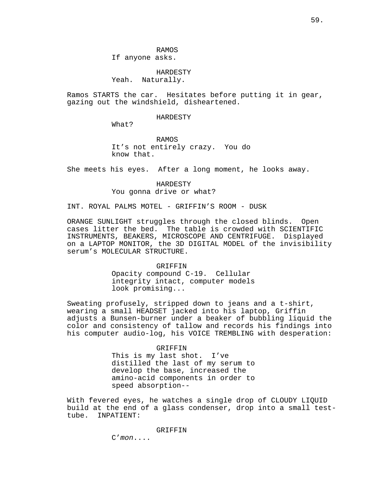## HARDESTY Yeah. Naturally.

Ramos STARTS the car. Hesitates before putting it in gear, gazing out the windshield, disheartened.

### HARDESTY

What?

RAMOS It's not entirely crazy. You do know that.

She meets his eyes. After a long moment, he looks away.

HARDESTY You gonna drive or what?

INT. ROYAL PALMS MOTEL - GRIFFIN'S ROOM - DUSK

ORANGE SUNLIGHT struggles through the closed blinds. Open cases litter the bed. The table is crowded with SCIENTIFIC INSTRUMENTS, BEAKERS, MICROSCOPE AND CENTRIFUGE. Displayed on a LAPTOP MONITOR, the 3D DIGITAL MODEL of the invisibility serum's MOLECULAR STRUCTURE.

# GRIFFIN Opacity compound C-19. Cellular integrity intact, computer models look promising...

Sweating profusely, stripped down to jeans and a t-shirt, wearing a small HEADSET jacked into his laptop, Griffin adjusts a Bunsen-burner under a beaker of bubbling liquid the color and consistency of tallow and records his findings into his computer audio-log, his VOICE TREMBLING with desperation:

#### GRIFFIN

This is my last shot. I've distilled the last of my serum to develop the base, increased the amino-acid components in order to speed absorption--

With fevered eyes, he watches a single drop of CLOUDY LIQUID build at the end of a glass condenser, drop into a small testtube. INPATIENT:

GRIFFIN

C'mon....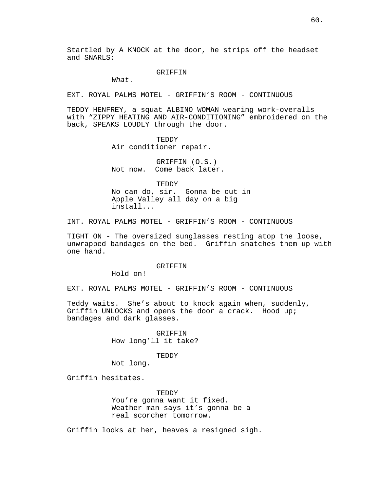Startled by A KNOCK at the door, he strips off the headset and SNARLS:

### GRIFFIN

What.

EXT. ROYAL PALMS MOTEL - GRIFFIN'S ROOM - CONTINUOUS

TEDDY HENFREY, a squat ALBINO WOMAN wearing work-overalls with "ZIPPY HEATING AND AIR-CONDITIONING" embroidered on the back, SPEAKS LOUDLY through the door.

> **TEDDY** Air conditioner repair.

GRIFFIN (O.S.) Not now. Come back later.

TEDDY

No can do, sir. Gonna be out in Apple Valley all day on a big install...

INT. ROYAL PALMS MOTEL - GRIFFIN'S ROOM - CONTINUOUS

TIGHT ON - The oversized sunglasses resting atop the loose, unwrapped bandages on the bed. Griffin snatches them up with one hand.

GRIFFIN

Hold on!

EXT. ROYAL PALMS MOTEL - GRIFFIN'S ROOM - CONTINUOUS

Teddy waits. She's about to knock again when, suddenly, Griffin UNLOCKS and opens the door a crack. Hood up; bandages and dark glasses.

> GRIFFIN How long'll it take?

#### TEDDY

Not long.

Griffin hesitates.

TEDDY You're gonna want it fixed. Weather man says it's gonna be a real scorcher tomorrow.

Griffin looks at her, heaves a resigned sigh.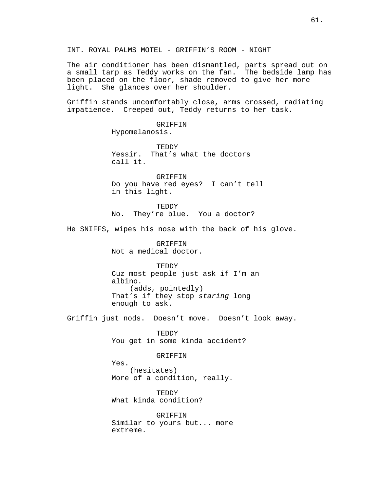INT. ROYAL PALMS MOTEL - GRIFFIN'S ROOM - NIGHT

The air conditioner has been dismantled, parts spread out on a small tarp as Teddy works on the fan. The bedside lamp has been placed on the floor, shade removed to give her more light. She glances over her shoulder.

Griffin stands uncomfortably close, arms crossed, radiating impatience. Creeped out, Teddy returns to her task.

> GRIFFIN Hypomelanosis.

**TEDDY** Yessir. That's what the doctors call it.

GRIFFIN Do you have red eyes? I can't tell in this light.

**TEDDY** No. They're blue. You a doctor?

He SNIFFS, wipes his nose with the back of his glove.

GRIFFIN Not a medical doctor.

TEDDY Cuz most people just ask if I'm an albino. (adds, pointedly) That's if they stop staring long enough to ask.

Griffin just nods. Doesn't move. Doesn't look away.

TEDDY You get in some kinda accident?

GRIFFIN

Yes. (hesitates) More of a condition, really.

TEDDY What kinda condition?

**GRIFFIN** Similar to yours but... more extreme.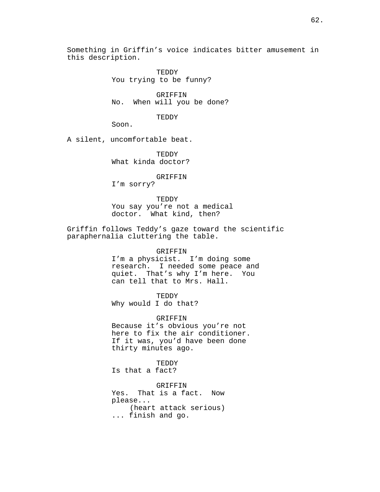Something in Griffin's voice indicates bitter amusement in this description.

> **TEDDY** You trying to be funny?

GRIFFIN No. When will you be done?

TEDDY

Soon.

A silent, uncomfortable beat.

**TEDDY** What kinda doctor?

GRIFFIN

I'm sorry?

TEDDY You say you're not a medical doctor. What kind, then?

Griffin follows Teddy's gaze toward the scientific paraphernalia cluttering the table.

#### GRIFFIN

I'm a physicist. I'm doing some research. I needed some peace and quiet. That's why I'm here. You can tell that to Mrs. Hall.

TEDDY

Why would I do that?

GRIFFIN Because it's obvious you're not here to fix the air conditioner. If it was, you'd have been done thirty minutes ago.

**TEDDY** 

Is that a fact?

GRIFFIN Yes. That is a fact. Now please... (heart attack serious) ... finish and go.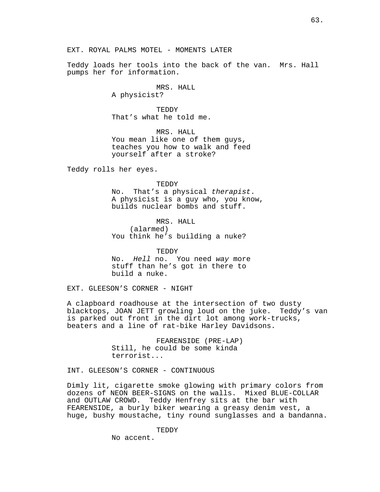Teddy loads her tools into the back of the van. Mrs. Hall pumps her for information.

> MRS. HALL A physicist?

**TEDDY** That's what he told me.

MRS. HALL You mean like one of them guys, teaches you how to walk and feed yourself after a stroke?

Teddy rolls her eyes.

**TEDDY** 

No. That's a physical therapist. A physicist is a guy who, you know, builds nuclear bombs and stuff.

MRS. HALL (alarmed) You think he's building a nuke?

TEDDY No. Hell no. You need way more stuff than he's got in there to build a nuke.

EXT. GLEESON'S CORNER - NIGHT

A clapboard roadhouse at the intersection of two dusty blacktops, JOAN JETT growling loud on the juke. Teddy's van is parked out front in the dirt lot among work-trucks, beaters and a line of rat-bike Harley Davidsons.

> FEARENSIDE (PRE-LAP) Still, he could be some kinda terrorist...

INT. GLEESON'S CORNER - CONTINUOUS

Dimly lit, cigarette smoke glowing with primary colors from dozens of NEON BEER-SIGNS on the walls. Mixed BLUE-COLLAR and OUTLAW CROWD. Teddy Henfrey sits at the bar with FEARENSIDE, a burly biker wearing a greasy denim vest, a huge, bushy moustache, tiny round sunglasses and a bandanna.

TEDDY

No accent.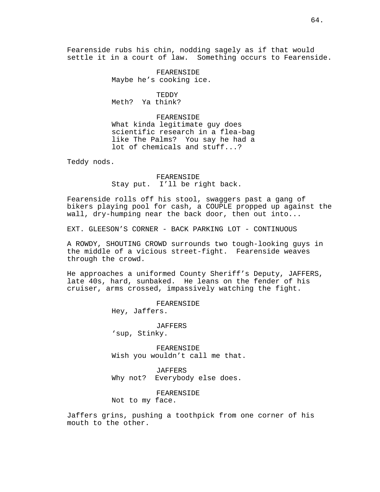Fearenside rubs his chin, nodding sagely as if that would settle it in a court of law. Something occurs to Fearenside.

> FEARENSIDE Maybe he's cooking ice.

**TEDDY** Meth? Ya think?

FEARENSIDE What kinda legitimate guy does scientific research in a flea-bag like The Palms? You say he had a lot of chemicals and stuff...?

Teddy nods.

FEARENSIDE Stay put. I'll be right back.

Fearenside rolls off his stool, swaggers past a gang of bikers playing pool for cash, a COUPLE propped up against the wall, dry-humping near the back door, then out into...

EXT. GLEESON'S CORNER - BACK PARKING LOT - CONTINUOUS

A ROWDY, SHOUTING CROWD surrounds two tough-looking guys in the middle of a vicious street-fight. Fearenside weaves through the crowd.

He approaches a uniformed County Sheriff's Deputy, JAFFERS, late 40s, hard, sunbaked. He leans on the fender of his cruiser, arms crossed, impassively watching the fight.

> FEARENSIDE Hey, Jaffers.

JAFFERS 'sup, Stinky.

FEARENSIDE Wish you wouldn't call me that.

JAFFERS Why not? Everybody else does.

FEARENSIDE

Not to my face.

Jaffers grins, pushing a toothpick from one corner of his mouth to the other.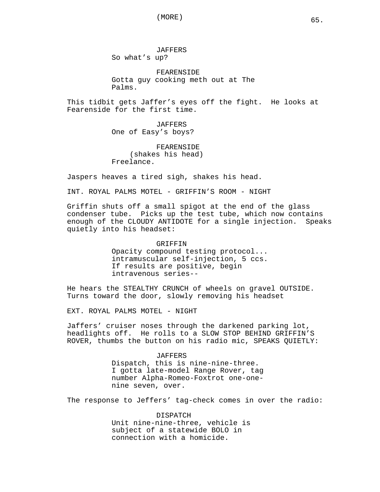JAFFERS So what's up?

FEARENSIDE Gotta guy cooking meth out at The Palms.

This tidbit gets Jaffer's eyes off the fight. He looks at Fearenside for the first time.

> JAFFERS One of Easy's boys?

FEARENSIDE (shakes his head) Freelance.

Jaspers heaves a tired sigh, shakes his head.

INT. ROYAL PALMS MOTEL - GRIFFIN'S ROOM - NIGHT

Griffin shuts off a small spigot at the end of the glass condenser tube. Picks up the test tube, which now contains enough of the CLOUDY ANTIDOTE for a single injection. Speaks quietly into his headset:

> GRIFFIN Opacity compound testing protocol... intramuscular self-injection, 5 ccs. If results are positive, begin intravenous series--

He hears the STEALTHY CRUNCH of wheels on gravel OUTSIDE. Turns toward the door, slowly removing his headset

EXT. ROYAL PALMS MOTEL - NIGHT

Jaffers' cruiser noses through the darkened parking lot, headlights off. He rolls to a SLOW STOP BEHIND GRIFFIN'S ROVER, thumbs the button on his radio mic, SPEAKS QUIETLY:

> JAFFERS Dispatch, this is nine-nine-three. I gotta late-model Range Rover, tag number Alpha-Romeo-Foxtrot one-onenine seven, over.

The response to Jeffers' tag-check comes in over the radio:

DISPATCH Unit nine-nine-three, vehicle is subject of a statewide BOLO in connection with a homicide.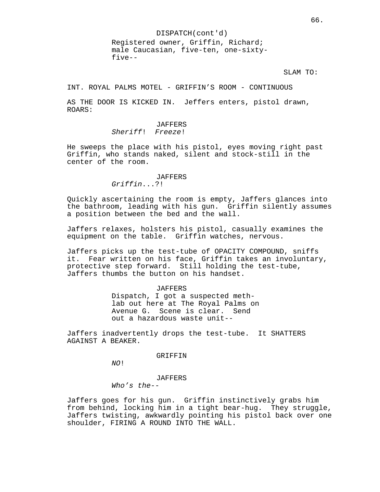DISPATCH(cont'd) Registered owner, Griffin, Richard; male Caucasian, five-ten, one-sixtyfive--

SLAM TO:

INT. ROYAL PALMS MOTEL - GRIFFIN'S ROOM - CONTINUOUS

AS THE DOOR IS KICKED IN. Jeffers enters, pistol drawn, ROARS:

## JAFFERS Sheriff! Freeze!

He sweeps the place with his pistol, eyes moving right past Griffin, who stands naked, silent and stock-still in the center of the room.

#### JAFFERS

Griffin...?!

Quickly ascertaining the room is empty, Jaffers glances into the bathroom, leading with his gun. Griffin silently assumes a position between the bed and the wall.

Jaffers relaxes, holsters his pistol, casually examines the equipment on the table. Griffin watches, nervous.

Jaffers picks up the test-tube of OPACITY COMPOUND, sniffs it. Fear written on his face, Griffin takes an involuntary, protective step forward. Still holding the test-tube, Jaffers thumbs the button on his handset.

#### JAFFERS

Dispatch, I got a suspected methlab out here at The Royal Palms on Avenue G. Scene is clear. Send out a hazardous waste unit--

Jaffers inadvertently drops the test-tube. It SHATTERS AGAINST A BEAKER.

### GRIFFIN

NO!

JAFFERS

Who's the--

Jaffers goes for his gun. Griffin instinctively grabs him from behind, locking him in a tight bear-hug. They struggle, Jaffers twisting, awkwardly pointing his pistol back over one shoulder, FIRING A ROUND INTO THE WALL.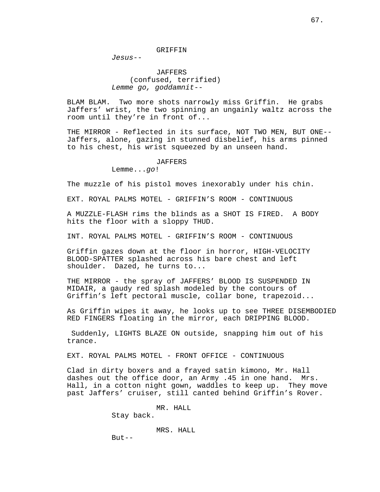GRIFFIN

Jesus--

JAFFERS (confused, terrified) Lemme go, goddamnit--

BLAM BLAM. Two more shots narrowly miss Griffin. He grabs Jaffers' wrist, the two spinning an ungainly waltz across the room until they're in front of...

THE MIRROR - Reflected in its surface, NOT TWO MEN, BUT ONE-- Jaffers, alone, gazing in stunned disbelief, his arms pinned to his chest, his wrist squeezed by an unseen hand.

#### JAFFERS

Lemme...go!

The muzzle of his pistol moves inexorably under his chin.

EXT. ROYAL PALMS MOTEL - GRIFFIN'S ROOM - CONTINUOUS

A MUZZLE-FLASH rims the blinds as a SHOT IS FIRED. A BODY hits the floor with a sloppy THUD.

INT. ROYAL PALMS MOTEL - GRIFFIN'S ROOM - CONTINUOUS

Griffin gazes down at the floor in horror, HIGH-VELOCITY BLOOD-SPATTER splashed across his bare chest and left shoulder. Dazed, he turns to...

THE MIRROR - the spray of JAFFERS' BLOOD IS SUSPENDED IN MIDAIR, a gaudy red splash modeled by the contours of Griffin's left pectoral muscle, collar bone, trapezoid...

As Griffin wipes it away, he looks up to see THREE DISEMBODIED RED FINGERS floating in the mirror, each DRIPPING BLOOD.

 Suddenly, LIGHTS BLAZE ON outside, snapping him out of his trance.

EXT. ROYAL PALMS MOTEL - FRONT OFFICE - CONTINUOUS

Clad in dirty boxers and a frayed satin kimono, Mr. Hall dashes out the office door, an Army .45 in one hand. Mrs. Hall, in a cotton night gown, waddles to keep up. They move past Jaffers' cruiser, still canted behind Griffin's Rover.

MR. HALL

Stay back.

MRS. HALL

 $But --$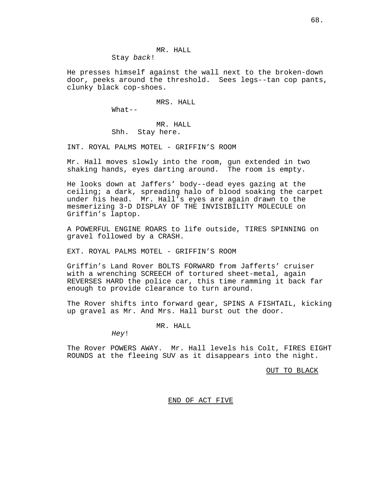MR. HALL Stay back!

He presses himself against the wall next to the broken-down door, peeks around the threshold. Sees legs--tan cop pants, clunky black cop-shoes.

MRS. HALL

What--

MR. HALL Shh. Stay here.

INT. ROYAL PALMS MOTEL - GRIFFIN'S ROOM

Mr. Hall moves slowly into the room, gun extended in two shaking hands, eyes darting around. The room is empty.

He looks down at Jaffers' body--dead eyes gazing at the ceiling; a dark, spreading halo of blood soaking the carpet under his head. Mr. Hall's eyes are again drawn to the mesmerizing 3-D DISPLAY OF THE INVISIBILITY MOLECULE on Griffin's laptop.

A POWERFUL ENGINE ROARS to life outside, TIRES SPINNING on gravel followed by a CRASH.

EXT. ROYAL PALMS MOTEL - GRIFFIN'S ROOM

Griffin's Land Rover BOLTS FORWARD from Jafferts' cruiser with a wrenching SCREECH of tortured sheet-metal, again REVERSES HARD the police car, this time ramming it back far enough to provide clearance to turn around.

The Rover shifts into forward gear, SPINS A FISHTAIL, kicking up gravel as Mr. And Mrs. Hall burst out the door.

MR. HALL

Hey!

The Rover POWERS AWAY. Mr. Hall levels his Colt, FIRES EIGHT ROUNDS at the fleeing SUV as it disappears into the night.

OUT TO BLACK

## END OF ACT FIVE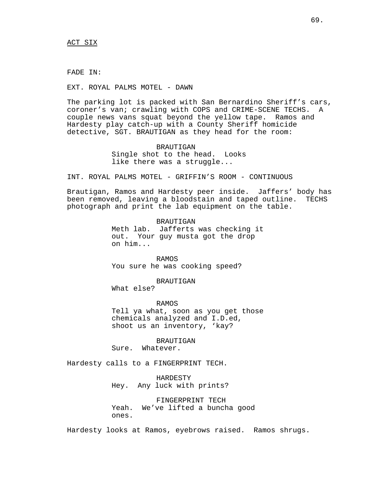FADE IN:

EXT. ROYAL PALMS MOTEL - DAWN

The parking lot is packed with San Bernardino Sheriff's cars, coroner's van; crawling with COPS and CRIME-SCENE TECHS. A couple news vans squat beyond the yellow tape. Ramos and Hardesty play catch-up with a County Sheriff homicide detective, SGT. BRAUTIGAN as they head for the room:

> BRAUTIGAN Single shot to the head. Looks like there was a struggle...

INT. ROYAL PALMS MOTEL - GRIFFIN'S ROOM - CONTINUOUS

Brautigan, Ramos and Hardesty peer inside. Jaffers' body has been removed, leaving a bloodstain and taped outline. TECHS photograph and print the lab equipment on the table.

> BRAUTIGAN Meth lab. Jafferts was checking it out. Your guy musta got the drop on him...

RAMOS You sure he was cooking speed?

BRAUTIGAN

What else?

RAMOS Tell ya what, soon as you get those chemicals analyzed and I.D.ed, shoot us an inventory, 'kay?

BRAUTIGAN

Sure. Whatever.

Hardesty calls to a FINGERPRINT TECH.

HARDESTY Hey. Any luck with prints?

FINGERPRINT TECH Yeah. We've lifted a buncha good ones.

Hardesty looks at Ramos, eyebrows raised. Ramos shrugs.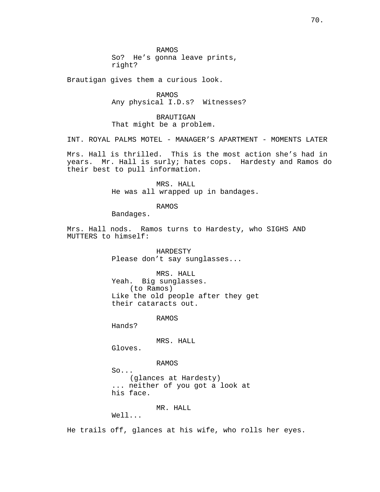RAMOS So? He's gonna leave prints, right?

Brautigan gives them a curious look.

RAMOS Any physical I.D.s? Witnesses?

BRAUTIGAN That might be a problem.

INT. ROYAL PALMS MOTEL - MANAGER'S APARTMENT - MOMENTS LATER

Mrs. Hall is thrilled. This is the most action she's had in years. Mr. Hall is surly; hates cops. Hardesty and Ramos do their best to pull information.

> MRS. HALL He was all wrapped up in bandages.

> > RAMOS

Bandages.

Mrs. Hall nods. Ramos turns to Hardesty, who SIGHS AND MUTTERS to himself:

> HARDESTY Please don't say sunglasses...

MRS. HALL Yeah. Big sunglasses. (to Ramos) Like the old people after they get their cataracts out.

RAMOS

Hands?

MRS. HALL

Gloves.

RAMOS So... (glances at Hardesty) ... neither of you got a look at his face.

MR. HALL

 $W \cap 1$ 

He trails off, glances at his wife, who rolls her eyes.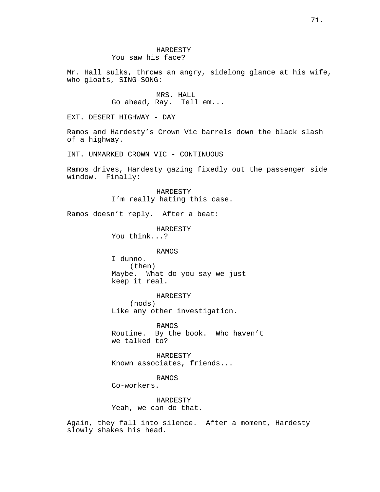Mr. Hall sulks, throws an angry, sidelong glance at his wife, who gloats, SING-SONG:

> MRS. HALL Go ahead, Ray. Tell em...

EXT. DESERT HIGHWAY - DAY

Ramos and Hardesty's Crown Vic barrels down the black slash of a highway.

INT. UNMARKED CROWN VIC - CONTINUOUS

Ramos drives, Hardesty gazing fixedly out the passenger side window. Finally:

> HARDESTY I'm really hating this case.

Ramos doesn't reply. After a beat:

HARDESTY

You think...?

## RAMOS

I dunno. (then) Maybe. What do you say we just keep it real.

HARDESTY (nods) Like any other investigation.

RAMOS Routine. By the book. Who haven't we talked to?

HARDESTY Known associates, friends...

RAMOS

Co-workers.

HARDESTY Yeah, we can do that.

Again, they fall into silence. After a moment, Hardesty slowly shakes his head.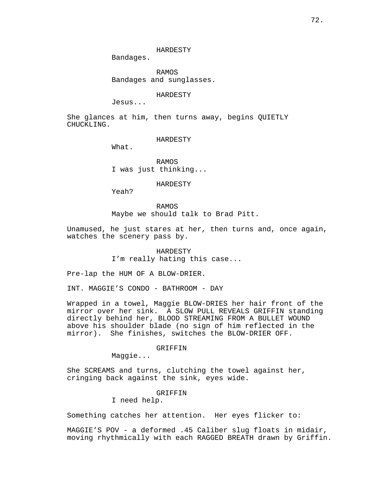HARDESTY

Bandages.

RAMOS Bandages and sunglasses.

HARDESTY

Jesus...

She glances at him, then turns away, begins QUIETLY CHUCKLING.

#### HARDESTY

What.

RAMOS I was just thinking...

HARDESTY

Yeah?

RAMOS Maybe we should talk to Brad Pitt.

Unamused, he just stares at her, then turns and, once again, watches the scenery pass by.

> HARDESTY I'm really hating this case...

Pre-lap the HUM OF A BLOW-DRIER.

INT. MAGGIE'S CONDO - BATHROOM - DAY

Wrapped in a towel, Maggie BLOW-DRIES her hair front of the mirror over her sink. A SLOW PULL REVEALS GRIFFIN standing directly behind her, BLOOD STREAMING FROM A BULLET WOUND above his shoulder blade (no sign of him reflected in the mirror). She finishes, switches the BLOW-DRIER OFF.

### GRIFFIN

Maggie...

She SCREAMS and turns, clutching the towel against her, cringing back against the sink, eyes wide.

# GRIFFIN

I need help.

Something catches her attention. Her eyes flicker to:

MAGGIE'S POV - a deformed .45 Caliber slug floats in midair, moving rhythmically with each RAGGED BREATH drawn by Griffin.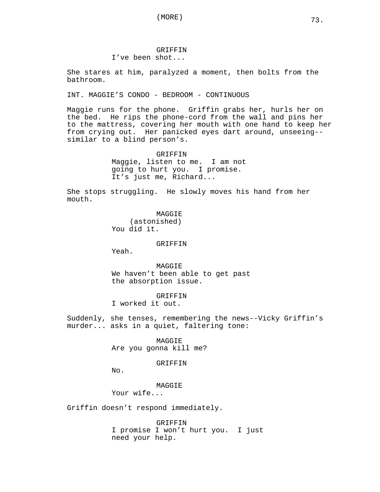# GRIFFIN I've been shot...

She stares at him, paralyzed a moment, then bolts from the bathroom.

INT. MAGGIE'S CONDO - BEDROOM - CONTINUOUS

Maggie runs for the phone. Griffin grabs her, hurls her on the bed. He rips the phone-cord from the wall and pins her to the mattress, covering her mouth with one hand to keep her from crying out. Her panicked eyes dart around, unseeing- similar to a blind person's.

> GRIFFIN Maggie, listen to me. I am not going to hurt you. I promise. It's just me, Richard...

She stops struggling. He slowly moves his hand from her mouth.

> MAGGIE (astonished) You did it.

> > **GRIFFIN**

Yeah.

MAGGIE We haven't been able to get past the absorption issue.

GRIFFIN I worked it out.

Suddenly, she tenses, remembering the news--Vicky Griffin's murder... asks in a quiet, faltering tone:

> MAGGIE Are you gonna kill me?

# GRIFFIN

No.

MAGGIE

Your wife...

Griffin doesn't respond immediately.

GRIFFIN I promise I won't hurt you. I just need your help.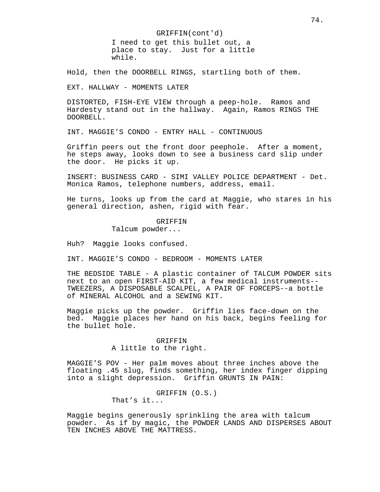GRIFFIN(cont'd) I need to get this bullet out, a place to stay. Just for a little while.

Hold, then the DOORBELL RINGS, startling both of them.

EXT. HALLWAY - MOMENTS LATER

DISTORTED, FISH-EYE VIEW through a peep-hole. Ramos and Hardesty stand out in the hallway. Again, Ramos RINGS THE DOORBELL.

INT. MAGGIE'S CONDO - ENTRY HALL - CONTINUOUS

Griffin peers out the front door peephole. After a moment, he steps away, looks down to see a business card slip under the door. He picks it up.

INSERT: BUSINESS CARD - SIMI VALLEY POLICE DEPARTMENT - Det. Monica Ramos, telephone numbers, address, email.

He turns, looks up from the card at Maggie, who stares in his general direction, ashen, rigid with fear.

# GRIFFIN

Talcum powder...

Huh? Maggie looks confused.

INT. MAGGIE'S CONDO - BEDROOM - MOMENTS LATER

THE BEDSIDE TABLE - A plastic container of TALCUM POWDER sits next to an open FIRST-AID KIT, a few medical instruments-- TWEEZERS, A DISPOSABLE SCALPEL, A PAIR OF FORCEPS--a bottle of MINERAL ALCOHOL and a SEWING KIT.

Maggie picks up the powder. Griffin lies face-down on the bed. Maggie places her hand on his back, begins feeling for the bullet hole.

# GRIFFIN A little to the right.

MAGGIE'S POV - Her palm moves about three inches above the floating .45 slug, finds something, her index finger dipping into a slight depression. Griffin GRUNTS IN PAIN:

> GRIFFIN (O.S.) That's it...

Maggie begins generously sprinkling the area with talcum powder. As if by magic, the POWDER LANDS AND DISPERSES ABOUT TEN INCHES ABOVE THE MATTRESS.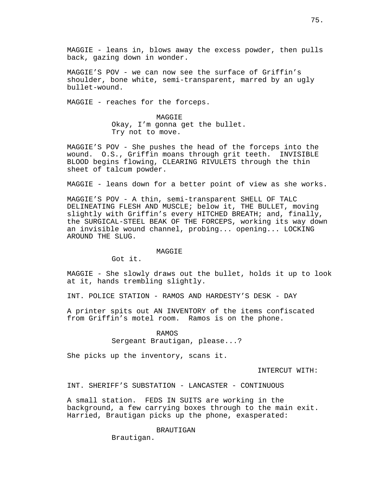MAGGIE - leans in, blows away the excess powder, then pulls back, gazing down in wonder.

MAGGIE'S POV - we can now see the surface of Griffin's shoulder, bone white, semi-transparent, marred by an ugly bullet-wound.

MAGGIE - reaches for the forceps.

MAGGIE Okay, I'm gonna get the bullet. Try not to move.

MAGGIE'S POV - She pushes the head of the forceps into the wound. O.S., Griffin moans through grit teeth. INVISIBLE BLOOD begins flowing, CLEARING RIVULETS through the thin sheet of talcum powder.

MAGGIE - leans down for a better point of view as she works.

MAGGIE'S POV - A thin, semi-transparent SHELL OF TALC DELINEATING FLESH AND MUSCLE; below it, THE BULLET, moving slightly with Griffin's every HITCHED BREATH; and, finally, the SURGICAL-STEEL BEAK OF THE FORCEPS, working its way down an invisible wound channel, probing... opening... LOCKING AROUND THE SLUG.

### **MAGGIE**

Got it.

MAGGIE - She slowly draws out the bullet, holds it up to look at it, hands trembling slightly.

INT. POLICE STATION - RAMOS AND HARDESTY'S DESK - DAY

A printer spits out AN INVENTORY of the items confiscated from Griffin's motel room. Ramos is on the phone.

RAMOS

Sergeant Brautigan, please...?

She picks up the inventory, scans it.

INTERCUT WITH:

INT. SHERIFF'S SUBSTATION - LANCASTER - CONTINUOUS

A small station. FEDS IN SUITS are working in the background, a few carrying boxes through to the main exit. Harried, Brautigan picks up the phone, exasperated:

BRAUTIGAN

Brautigan.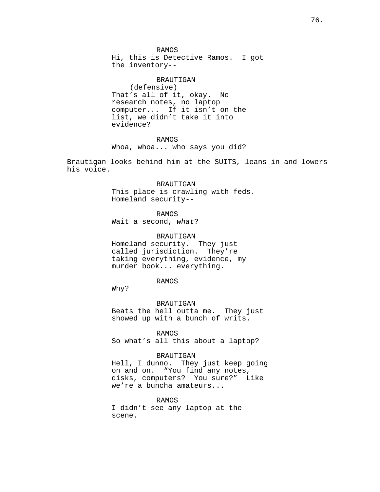RAMOS Hi, this is Detective Ramos. I got the inventory--

BRAUTIGAN (defensive) That's all of it, okay. No research notes, no laptop computer... If it isn't on the list, we didn't take it into evidence?

RAMOS Whoa, whoa... who says you did?

Brautigan looks behind him at the SUITS, leans in and lowers his voice.

> BRAUTIGAN This place is crawling with feds. Homeland security--

RAMOS Wait a second, what?

BRAUTIGAN Homeland security. They just called jurisdiction. They're taking everything, evidence, my murder book... everything.

### RAMOS

Why?

BRAUTIGAN Beats the hell outta me. They just showed up with a bunch of writs.

RAMOS

So what's all this about a laptop?

# BRAUTIGAN

Hell, I dunno. They just keep going on and on. "You find any notes, disks, computers? You sure?" Like we're a buncha amateurs...

# RAMOS

I didn't see any laptop at the scene.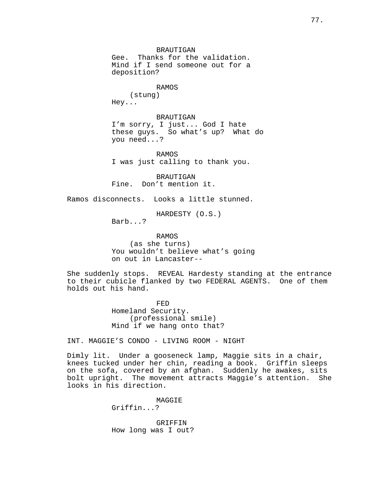BRAUTIGAN Gee. Thanks for the validation. Mind if I send someone out for a deposition?

# RAMOS

(stung) Hey...

BRAUTIGAN I'm sorry, I just... God I hate these guys. So what's up? What do you need...?

RAMOS I was just calling to thank you.

BRAUTIGAN Fine. Don't mention it.

Ramos disconnects. Looks a little stunned.

HARDESTY (O.S.)

Barb...?

RAMOS (as she turns) You wouldn't believe what's going on out in Lancaster--

She suddenly stops. REVEAL Hardesty standing at the entrance to their cubicle flanked by two FEDERAL AGENTS. One of them holds out his hand.

> FED Homeland Security. (professional smile) Mind if we hang onto that?

INT. MAGGIE'S CONDO - LIVING ROOM - NIGHT

Dimly lit. Under a gooseneck lamp, Maggie sits in a chair, knees tucked under her chin, reading a book. Griffin sleeps on the sofa, covered by an afghan. Suddenly he awakes, sits bolt upright. The movement attracts Maggie's attention. She looks in his direction.

> MAGGIE Griffin...?

GRIFFIN How long was I out?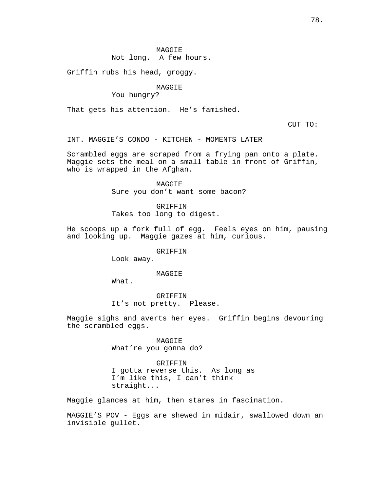Not long. A few hours.

Griffin rubs his head, groggy.

# MAGGIE

You hungry?

That gets his attention. He's famished.

CUT TO:

INT. MAGGIE'S CONDO - KITCHEN - MOMENTS LATER

Scrambled eggs are scraped from a frying pan onto a plate. Maggie sets the meal on a small table in front of Griffin, who is wrapped in the Afghan.

> MAGGIE Sure you don't want some bacon?

GRIFFIN Takes too long to digest.

He scoops up a fork full of egg. Feels eyes on him, pausing and looking up. Maggie gazes at him, curious.

### **GRIFFIN**

Look away.

# MAGGIE

What.

GRIFFIN It's not pretty. Please.

Maggie sighs and averts her eyes. Griffin begins devouring the scrambled eggs.

> MAGGIE What're you gonna do?

GRIFFIN I gotta reverse this. As long as I'm like this, I can't think straight...

Maggie glances at him, then stares in fascination.

MAGGIE'S POV - Eggs are shewed in midair, swallowed down an invisible gullet.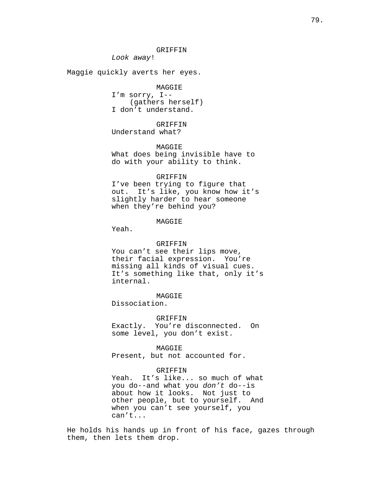Look away!

Maggie quickly averts her eyes.

MAGGIE I'm sorry, I-- (gathers herself) I don't understand.

GRIFFIN Understand what?

MAGGIE What does being invisible have to do with your ability to think.

#### GRIFFIN

I've been trying to figure that out. It's like, you know how it's slightly harder to hear someone when they're behind you?

# MAGGIE

Yeah.

#### GRIFFIN

You can't see their lips move, their facial expression. You're missing all kinds of visual cues. It's something like that, only it's internal.

MAGGIE

Dissociation.

GRIFFIN Exactly. You're disconnected. On

some level, you don't exist.

### MAGGIE

Present, but not accounted for.

#### GRIFFIN

Yeah. It's like... so much of what you do--and what you don't do--is about how it looks. Not just to other people, but to yourself. And when you can't see yourself, you can't...

He holds his hands up in front of his face, gazes through them, then lets them drop.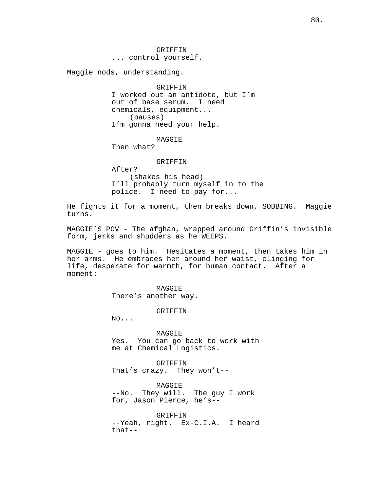GRIFFIN ... control yourself.

Maggie nods, understanding.

GRIFFIN I worked out an antidote, but I'm out of base serum. I need chemicals, equipment... (pauses) I'm gonna need your help.

# MAGGIE

Then what?

#### GRIFFIN

After? (shakes his head) I'll probably turn myself in to the police. I need to pay for...

He fights it for a moment, then breaks down, SOBBING. Maggie turns.

MAGGIE'S POV - The afghan, wrapped around Griffin's invisible form, jerks and shudders as he WEEPS.

MAGGIE - goes to him. Hesitates a moment, then takes him in her arms. He embraces her around her waist, clinging for life, desperate for warmth, for human contact. After a moment:

> MAGGIE There's another way.

> > GRIFFIN

No...

MAGGIE Yes. You can go back to work with me at Chemical Logistics.

GRIFFIN That's crazy. They won't--

MAGGIE --No. They will. The guy I work for, Jason Pierce, he's--

GRIFFIN --Yeah, right. Ex-C.I.A. I heard that--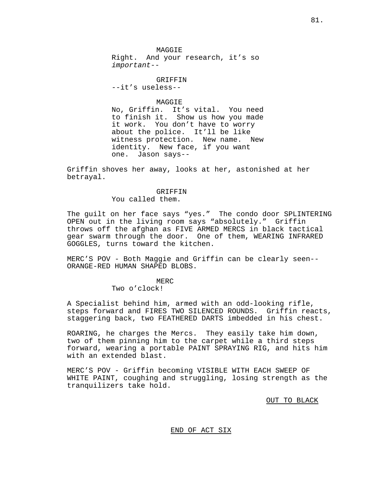MAGGIE Right. And your research, it's so important--

GRIFFIN

--it's useless--

### MAGGIE

No, Griffin. It's vital. You need to finish it. Show us how you made it work. You don't have to worry about the police. It'll be like witness protection. New name. New identity. New face, if you want one. Jason says--

Griffin shoves her away, looks at her, astonished at her betrayal.

# GRIFFIN

You called them.

The guilt on her face says "yes." The condo door SPLINTERING OPEN out in the living room says "absolutely." Griffin throws off the afghan as FIVE ARMED MERCS in black tactical gear swarm through the door. One of them, WEARING INFRARED GOGGLES, turns toward the kitchen.

MERC'S POV - Both Maggie and Griffin can be clearly seen-- ORANGE-RED HUMAN SHAPED BLOBS.

MER<sub>C</sub>

Two o'clock!

A Specialist behind him, armed with an odd-looking rifle, steps forward and FIRES TWO SILENCED ROUNDS. Griffin reacts, staggering back, two FEATHERED DARTS imbedded in his chest.

ROARING, he charges the Mercs. They easily take him down, two of them pinning him to the carpet while a third steps forward, wearing a portable PAINT SPRAYING RIG, and hits him with an extended blast.

MERC'S POV - Griffin becoming VISIBLE WITH EACH SWEEP OF WHITE PAINT, coughing and struggling, losing strength as the tranquilizers take hold.

OUT TO BLACK

# END OF ACT SIX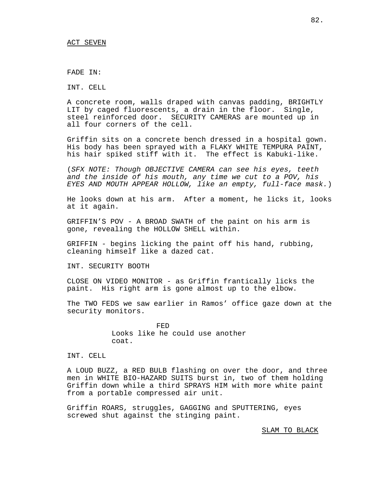FADE IN:

INT. CELL

A concrete room, walls draped with canvas padding, BRIGHTLY LIT by caged fluorescents, a drain in the floor. Single, steel reinforced door. SECURITY CAMERAS are mounted up in all four corners of the cell.

Griffin sits on a concrete bench dressed in a hospital gown. His body has been sprayed with a FLAKY WHITE TEMPURA PAINT, his hair spiked stiff with it. The effect is Kabuki-like.

(SFX NOTE: Though OBJECTIVE CAMERA can see his eyes, teeth and the inside of his mouth, any time we cut to a POV, his EYES AND MOUTH APPEAR HOLLOW, like an empty, full-face mask.)

He looks down at his arm. After a moment, he licks it, looks at it again.

GRIFFIN'S POV - A BROAD SWATH of the paint on his arm is gone, revealing the HOLLOW SHELL within.

GRIFFIN - begins licking the paint off his hand, rubbing, cleaning himself like a dazed cat.

INT. SECURITY BOOTH

CLOSE ON VIDEO MONITOR - as Griffin frantically licks the paint. His right arm is gone almost up to the elbow.

The TWO FEDS we saw earlier in Ramos' office gaze down at the security monitors.

> FED Looks like he could use another coat.

INT. CELL

A LOUD BUZZ, a RED BULB flashing on over the door, and three men in WHITE BIO-HAZARD SUITS burst in, two of them holding Griffin down while a third SPRAYS HIM with more white paint from a portable compressed air unit.

Griffin ROARS, struggles, GAGGING and SPUTTERING, eyes screwed shut against the stinging paint.

SLAM TO BLACK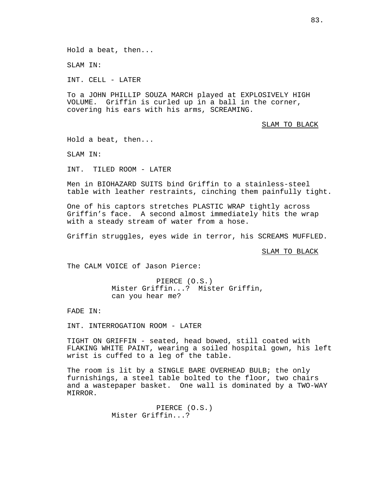Hold a beat, then...

SLAM IN:

INT. CELL - LATER

To a JOHN PHILLIP SOUZA MARCH played at EXPLOSIVELY HIGH VOLUME. Griffin is curled up in a ball in the corner, covering his ears with his arms, SCREAMING.

SLAM TO BLACK

Hold a beat, then...

SLAM IN:

INT. TILED ROOM - LATER

Men in BIOHAZARD SUITS bind Griffin to a stainless-steel table with leather restraints, cinching them painfully tight.

One of his captors stretches PLASTIC WRAP tightly across Griffin's face. A second almost immediately hits the wrap with a steady stream of water from a hose.

Griffin struggles, eyes wide in terror, his SCREAMS MUFFLED.

SLAM TO BLACK

The CALM VOICE of Jason Pierce:

PIERCE (O.S.) Mister Griffin...? Mister Griffin, can you hear me?

FADE IN:

INT. INTERROGATION ROOM - LATER

TIGHT ON GRIFFIN - seated, head bowed, still coated with FLAKING WHITE PAINT, wearing a soiled hospital gown, his left wrist is cuffed to a leg of the table.

The room is lit by a SINGLE BARE OVERHEAD BULB; the only furnishings, a steel table bolted to the floor, two chairs and a wastepaper basket. One wall is dominated by a TWO-WAY MIRROR.

> PIERCE (O.S.) Mister Griffin...?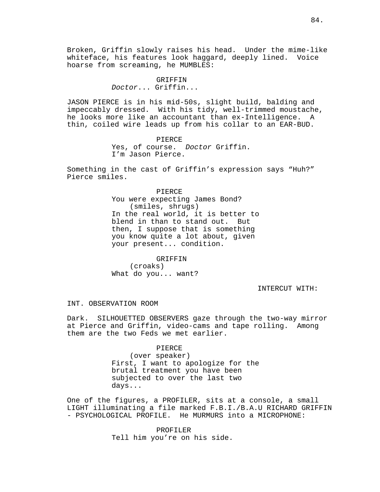Broken, Griffin slowly raises his head. Under the mime-like whiteface, his features look haggard, deeply lined. Voice hoarse from screaming, he MUMBLES:

> **GRIFFIN** Doctor... Griffin...

JASON PIERCE is in his mid-50s, slight build, balding and impeccably dressed. With his tidy, well-trimmed moustache, he looks more like an accountant than ex-Intelligence. A thin, coiled wire leads up from his collar to an EAR-BUD.

> PIERCE Yes, of course. Doctor Griffin. I'm Jason Pierce.

Something in the cast of Griffin's expression says "Huh?" Pierce smiles.

> PIERCE You were expecting James Bond? (smiles, shrugs) In the real world, it is better to blend in than to stand out. But then, I suppose that is something you know quite a lot about, given your present... condition.

GRIFFIN (croaks) What do you... want?

INTERCUT WITH:

INT. OBSERVATION ROOM

Dark. SILHOUETTED OBSERVERS gaze through the two-way mirror at Pierce and Griffin, video-cams and tape rolling. Among them are the two Feds we met earlier.

PIERCE

(over speaker) First, I want to apologize for the brutal treatment you have been subjected to over the last two days...

One of the figures, a PROFILER, sits at a console, a small LIGHT illuminating a file marked F.B.I./B.A.U RICHARD GRIFFIN - PSYCHOLOGICAL PROFILE. He MURMURS into a MICROPHONE:

> PROFILER Tell him you're on his side.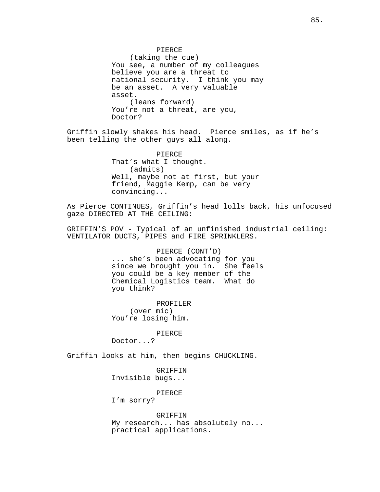PIERCE (taking the cue) You see, a number of my colleagues believe you are a threat to national security. I think you may be an asset. A very valuable asset. (leans forward) You're not a threat, are you, Doctor?

Griffin slowly shakes his head. Pierce smiles, as if he's been telling the other guys all along.

> PIERCE That's what I thought. (admits) Well, maybe not at first, but your friend, Maggie Kemp, can be very convincing...

As Pierce CONTINUES, Griffin's head lolls back, his unfocused gaze DIRECTED AT THE CEILING:

GRIFFIN'S POV - Typical of an unfinished industrial ceiling: VENTILATOR DUCTS, PIPES and FIRE SPRINKLERS.

> PIERCE (CONT'D) ... she's been advocating for you since we brought you in. She feels you could be a key member of the Chemical Logistics team. What do you think?

PROFILER (over mic) You're losing him.

PIERCE

Doctor...?

Griffin looks at him, then begins CHUCKLING.

GRIFFIN Invisible bugs...

PIERCE

I'm sorry?

GRIFFIN

My research... has absolutely no... practical applications.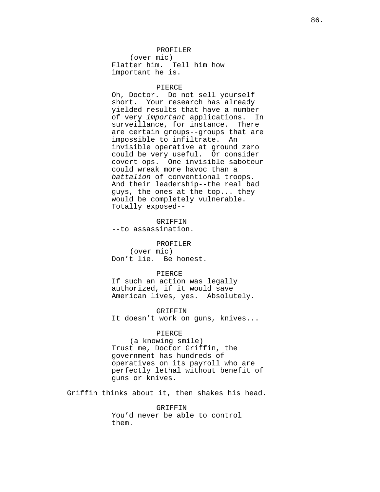# PROFILER

(over mic) Flatter him. Tell him how important he is.

#### PIERCE

Oh, Doctor. Do not sell yourself short. Your research has already yielded results that have a number of very important applications. In surveillance, for instance. There are certain groups--groups that are impossible to infiltrate. An invisible operative at ground zero could be very useful. Or consider covert ops. One invisible saboteur could wreak more havoc than a battalion of conventional troops. And their leadership--the real bad guys, the ones at the top... they would be completely vulnerable. Totally exposed--

GRIFFIN --to assassination.

PROFILER (over mic) Don't lie. Be honest.

### PIERCE

If such an action was legally authorized, if it would save American lives, yes. Absolutely.

GRIFFIN It doesn't work on guns, knives...

# PIERCE

(a knowing smile) Trust me, Doctor Griffin, the government has hundreds of operatives on its payroll who are perfectly lethal without benefit of guns or knives.

Griffin thinks about it, then shakes his head.

GRIFFIN You'd never be able to control them.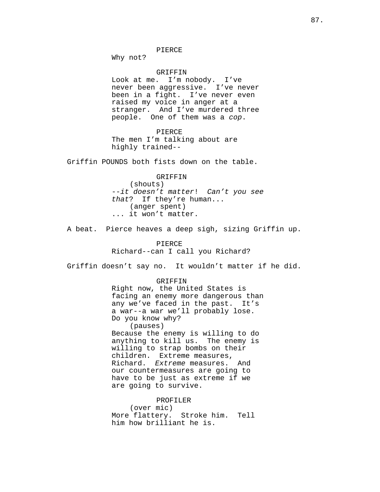PIERCE

Why not?

GRIFFIN Look at me. I'm nobody. I've never been aggressive. I've never been in a fight. I've never even raised my voice in anger at a stranger. And I've murdered three people. One of them was a cop.

PIERCE The men I'm talking about are highly trained--

Griffin POUNDS both fists down on the table.

GRIFFIN (shouts) --it doesn't matter! Can't you see that? If they're human... (anger spent) ... it won't matter.

A beat. Pierce heaves a deep sigh, sizing Griffin up.

PIERCE Richard--can I call you Richard?

Griffin doesn't say no. It wouldn't matter if he did.

GRIFFIN Right now, the United States is facing an enemy more dangerous than any we've faced in the past. It's a war--a war we'll probably lose. Do you know why? (pauses) Because the enemy is willing to do anything to kill us. The enemy is willing to strap bombs on their children. Extreme measures, Richard. Extreme measures. And our countermeasures are going to have to be just as extreme if we are going to survive.

PROFILER (over mic) More flattery. Stroke him. Tell him how brilliant he is.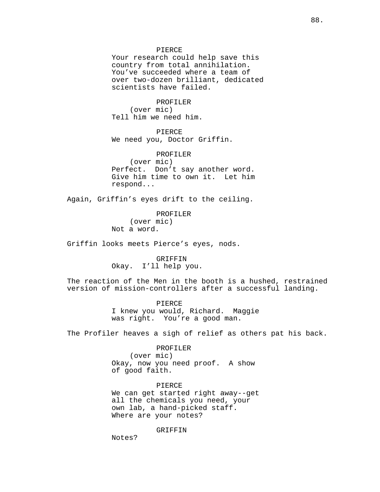#### PIERCE

Your research could help save this country from total annihilation. You've succeeded where a team of over two-dozen brilliant, dedicated scientists have failed.

PROFILER (over mic) Tell him we need him.

PIERCE We need you, Doctor Griffin.

PROFILER (over mic) Perfect. Don't say another word. Give him time to own it. Let him respond...

Again, Griffin's eyes drift to the ceiling.

PROFILER (over mic) Not a word.

Griffin looks meets Pierce's eyes, nods.

GRIFFIN Okay. I'll help you.

The reaction of the Men in the booth is a hushed, restrained version of mission-controllers after a successful landing.

> PIERCE I knew you would, Richard. Maggie was right. You're a good man.

The Profiler heaves a sigh of relief as others pat his back.

PROFILER (over mic) Okay, now you need proof. A show of good faith.

PIERCE We can get started right away--get all the chemicals you need, your own lab, a hand-picked staff. Where are your notes?

GRIFFIN

Notes?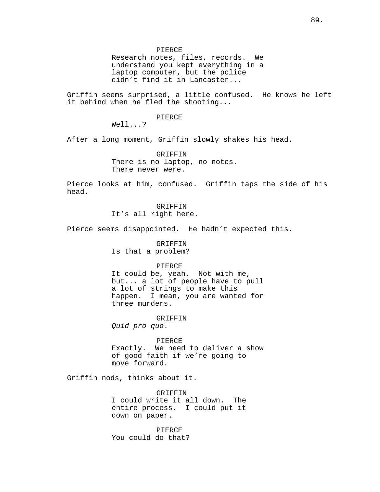PIERCE

Research notes, files, records. We understand you kept everything in a laptop computer, but the police didn't find it in Lancaster...

Griffin seems surprised, a little confused. He knows he left it behind when he fled the shooting...

PIERCE

Well...?

After a long moment, Griffin slowly shakes his head.

GRIFFIN There is no laptop, no notes. There never were.

Pierce looks at him, confused. Griffin taps the side of his head.

> GRIFFIN It's all right here.

Pierce seems disappointed. He hadn't expected this.

GRIFFIN Is that a problem?

### PIERCE

It could be, yeah. Not with me, but... a lot of people have to pull a lot of strings to make this happen. I mean, you are wanted for three murders.

GRIFFIN Quid pro quo.

PIERCE Exactly. We need to deliver a show of good faith if we're going to move forward.

Griffin nods, thinks about it.

GRIFFIN I could write it all down. The entire process. I could put it down on paper.

PIERCE You could do that?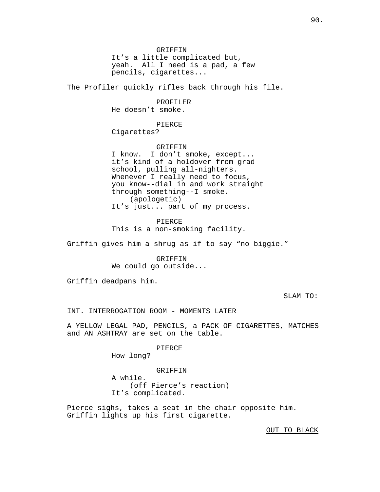GRIFFIN It's a little complicated but, yeah. All I need is a pad, a few pencils, cigarettes...

The Profiler quickly rifles back through his file.

PROFILER He doesn't smoke.

PIERCE

Cigarettes?

GRIFFIN I know. I don't smoke, except... it's kind of a holdover from grad school, pulling all-nighters. Whenever I really need to focus, you know--dial in and work straight through something--I smoke. (apologetic) It's just... part of my process.

PIERCE This is a non-smoking facility.

Griffin gives him a shrug as if to say "no biggie."

GRIFFIN We could go outside...

Griffin deadpans him.

SLAM TO:

INT. INTERROGATION ROOM - MOMENTS LATER

A YELLOW LEGAL PAD, PENCILS, a PACK OF CIGARETTES, MATCHES and AN ASHTRAY are set on the table.

PIERCE

How long?

GRIFFIN A while. (off Pierce's reaction) It's complicated.

Pierce sighs, takes a seat in the chair opposite him. Griffin lights up his first cigarette.

OUT TO BLACK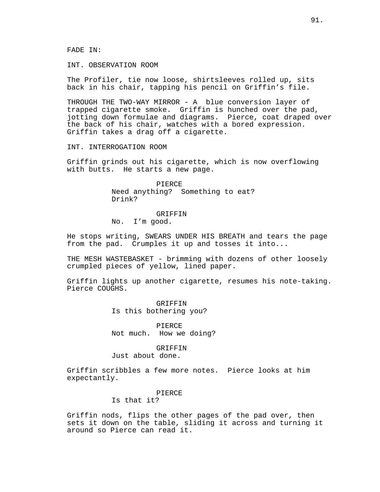FADE IN:

INT. OBSERVATION ROOM

The Profiler, tie now loose, shirtsleeves rolled up, sits back in his chair, tapping his pencil on Griffin's file.

THROUGH THE TWO-WAY MIRROR - A blue conversion layer of trapped cigarette smoke. Griffin is hunched over the pad, jotting down formulae and diagrams. Pierce, coat draped over the back of his chair, watches with a bored expression. Griffin takes a drag off a cigarette.

INT. INTERROGATION ROOM

Griffin grinds out his cigarette, which is now overflowing with butts. He starts a new page.

> PIERCE Need anything? Something to eat? Drink?

#### GRIFFIN

No. I'm good.

He stops writing, SWEARS UNDER HIS BREATH and tears the page from the pad. Crumples it up and tosses it into...

THE MESH WASTEBASKET - brimming with dozens of other loosely crumpled pieces of yellow, lined paper.

Griffin lights up another cigarette, resumes his note-taking. Pierce COUGHS.

> GRIFFIN Is this bothering you?

PIERCE Not much. How we doing?

GRIFFIN Just about done.

Griffin scribbles a few more notes. Pierce looks at him expectantly.

### PIERCE

Is that it?

Griffin nods, flips the other pages of the pad over, then sets it down on the table, sliding it across and turning it around so Pierce can read it.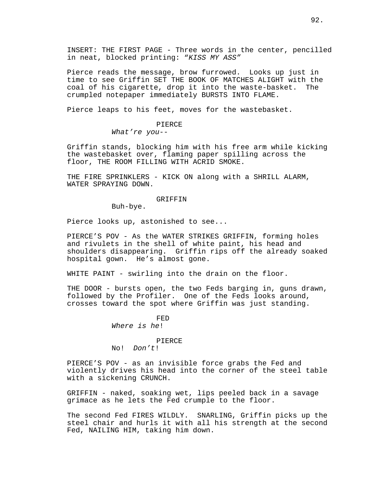INSERT: THE FIRST PAGE - Three words in the center, pencilled in neat, blocked printing: "KISS MY ASS"

Pierce reads the message, brow furrowed. Looks up just in time to see Griffin SET THE BOOK OF MATCHES ALIGHT with the coal of his cigarette, drop it into the waste-basket. The crumpled notepaper immediately BURSTS INTO FLAME.

Pierce leaps to his feet, moves for the wastebasket.

### PIERCE

What're you--

Griffin stands, blocking him with his free arm while kicking the wastebasket over, flaming paper spilling across the floor, THE ROOM FILLING WITH ACRID SMOKE.

THE FIRE SPRINKLERS - KICK ON along with a SHRILL ALARM, WATER SPRAYING DOWN.

## GRIFFIN

Buh-bye.

Pierce looks up, astonished to see...

PIERCE'S POV - As the WATER STRIKES GRIFFIN, forming holes and rivulets in the shell of white paint, his head and shoulders disappearing. Griffin rips off the already soaked hospital gown. He's almost gone.

WHITE PAINT - swirling into the drain on the floor.

THE DOOR - bursts open, the two Feds barging in, guns drawn, followed by the Profiler. One of the Feds looks around, crosses toward the spot where Griffin was just standing.

> FED Where is he!

> > PIERCE

No! Don't!

PIERCE'S POV - as an invisible force grabs the Fed and violently drives his head into the corner of the steel table with a sickening CRUNCH.

GRIFFIN - naked, soaking wet, lips peeled back in a savage grimace as he lets the Fed crumple to the floor.

The second Fed FIRES WILDLY. SNARLING, Griffin picks up the steel chair and hurls it with all his strength at the second Fed, NAILING HIM, taking him down.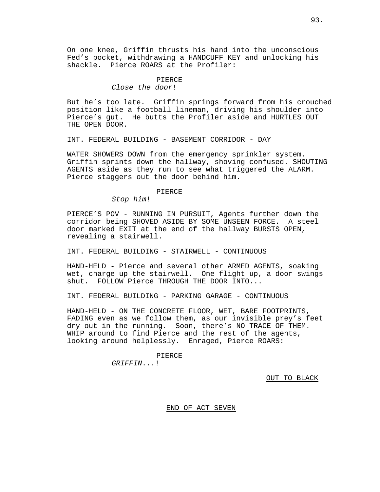On one knee, Griffin thrusts his hand into the unconscious Fed's pocket, withdrawing a HANDCUFF KEY and unlocking his shackle. Pierce ROARS at the Profiler:

### PIERCE

Close the door!

But he's too late. Griffin springs forward from his crouched position like a football lineman, driving his shoulder into Pierce's gut. He butts the Profiler aside and HURTLES OUT THE OPEN DOOR.

INT. FEDERAL BUILDING - BASEMENT CORRIDOR - DAY

WATER SHOWERS DOWN from the emergency sprinkler system. Griffin sprints down the hallway, shoving confused. SHOUTING AGENTS aside as they run to see what triggered the ALARM. Pierce staggers out the door behind him.

### PIERCE

Stop him!

PIERCE'S POV - RUNNING IN PURSUIT, Agents further down the corridor being SHOVED ASIDE BY SOME UNSEEN FORCE. A steel door marked EXIT at the end of the hallway BURSTS OPEN, revealing a stairwell.

INT. FEDERAL BUILDING - STAIRWELL - CONTINUOUS

HAND-HELD - Pierce and several other ARMED AGENTS, soaking wet, charge up the stairwell. One flight up, a door swings shut. FOLLOW Pierce THROUGH THE DOOR INTO...

INT. FEDERAL BUILDING - PARKING GARAGE - CONTINUOUS

HAND-HELD - ON THE CONCRETE FLOOR, WET, BARE FOOTPRINTS, FADING even as we follow them, as our invisible prey's feet dry out in the running. Soon, there's NO TRACE OF THEM. WHIP around to find Pierce and the rest of the agents, looking around helplessly. Enraged, Pierce ROARS:

> PIERCE GRIFFIN...!

> > OUT TO BLACK

END OF ACT SEVEN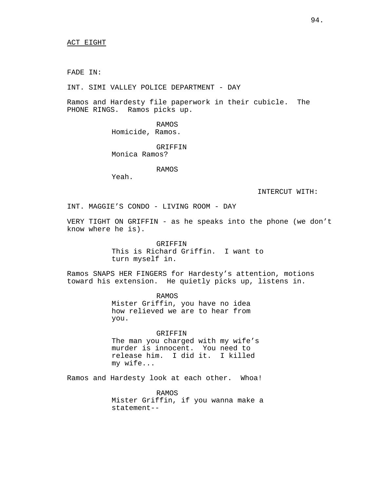FADE IN:

INT. SIMI VALLEY POLICE DEPARTMENT - DAY

Ramos and Hardesty file paperwork in their cubicle. The PHONE RINGS. Ramos picks up.

> RAMOS Homicide, Ramos.

GRIFFIN Monica Ramos?

RAMOS

Yeah.

INTERCUT WITH:

INT. MAGGIE'S CONDO - LIVING ROOM - DAY

VERY TIGHT ON GRIFFIN - as he speaks into the phone (we don't know where he is).

> GRIFFIN This is Richard Griffin. I want to turn myself in.

Ramos SNAPS HER FINGERS for Hardesty's attention, motions toward his extension. He quietly picks up, listens in.

> RAMOS Mister Griffin, you have no idea how relieved we are to hear from you.

GRIFFIN The man you charged with my wife's murder is innocent. You need to release him. I did it. I killed my wife...

Ramos and Hardesty look at each other. Whoa!

RAMOS Mister Griffin, if you wanna make a statement--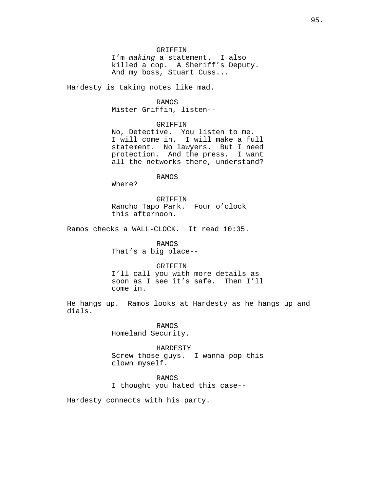GRIFFIN

I'm making a statement. I also killed a cop. A Sheriff's Deputy. And my boss, Stuart Cuss...

Hardesty is taking notes like mad.

### RAMOS

Mister Griffin, listen--

### GRIFFIN

No, Detective. You listen to me. I will come in. I will make a full statement. No lawyers. But I need protection. And the press. I want all the networks there, understand?

RAMOS

Where?

GRIFFIN Rancho Tapo Park. Four o'clock this afternoon.

Ramos checks a WALL-CLOCK. It read 10:35.

RAMOS That's a big place--

# GRIFFIN

I'll call you with more details as soon as I see it's safe. Then I'll come in.

He hangs up. Ramos looks at Hardesty as he hangs up and dials.

> RAMOS Homeland Security.

HARDESTY Screw those guys. I wanna pop this clown myself.

#### RAMOS

I thought you hated this case--

Hardesty connects with his party.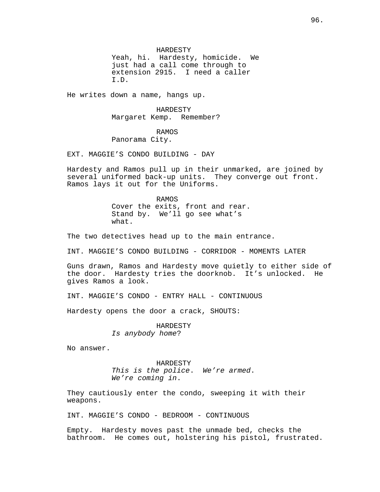HARDESTY Yeah, hi. Hardesty, homicide. We just had a call come through to extension 2915. I need a caller I.D.

He writes down a name, hangs up.

HARDESTY Margaret Kemp. Remember?

RAMOS Panorama City.

EXT. MAGGIE'S CONDO BUILDING - DAY

Hardesty and Ramos pull up in their unmarked, are joined by several uniformed back-up units. They converge out front. Ramos lays it out for the Uniforms.

> RAMOS Cover the exits, front and rear. Stand by. We'll go see what's what.

The two detectives head up to the main entrance.

INT. MAGGIE'S CONDO BUILDING - CORRIDOR - MOMENTS LATER

Guns drawn, Ramos and Hardesty move quietly to either side of the door. Hardesty tries the doorknob. It's unlocked. He gives Ramos a look.

INT. MAGGIE'S CONDO - ENTRY HALL - CONTINUOUS

Hardesty opens the door a crack, SHOUTS:

HARDESTY Is anybody home?

No answer.

HARDESTY This is the police. We're armed. We're coming in.

They cautiously enter the condo, sweeping it with their weapons.

INT. MAGGIE'S CONDO - BEDROOM - CONTINUOUS

Empty. Hardesty moves past the unmade bed, checks the bathroom. He comes out, holstering his pistol, frustrated.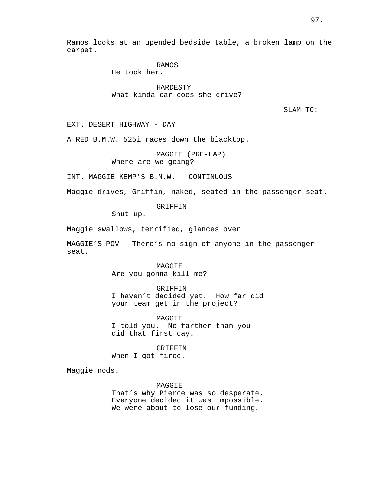Ramos looks at an upended bedside table, a broken lamp on the carpet.

> RAMOS He took her.

HARDESTY What kinda car does she drive?

SLAM TO:

EXT. DESERT HIGHWAY - DAY

A RED B.M.W. 525i races down the blacktop.

MAGGIE (PRE-LAP) Where are we going?

INT. MAGGIE KEMP'S B.M.W. - CONTINUOUS

Maggie drives, Griffin, naked, seated in the passenger seat.

GRIFFIN

Shut up.

Maggie swallows, terrified, glances over

MAGGIE'S POV - There's no sign of anyone in the passenger seat.

> MAGGIE Are you gonna kill me?

GRIFFIN I haven't decided yet. How far did your team get in the project?

MAGGIE I told you. No farther than you did that first day.

GRIFFIN When I got fired.

Maggie nods.

MAGGIE That's why Pierce was so desperate. Everyone decided it was impossible. We were about to lose our funding.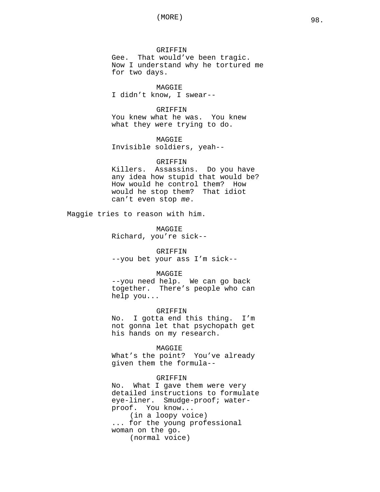GRIFFIN Gee. That would've been tragic. Now I understand why he tortured me for two days.

MAGGIE I didn't know, I swear--

GRIFFIN You knew what he was. You knew what they were trying to do.

MAGGIE Invisible soldiers, yeah--

#### GRIFFIN

Killers. Assassins. Do you have any idea how stupid that would be? How would he control them? How would he stop them? That idiot can't even stop me.

Maggie tries to reason with him.

MAGGIE Richard, you're sick--

#### **GRIFFIN**

--you bet your ass I'm sick--

# MAGGIE

--you need help. We can go back together. There's people who can help you...

# GRIFFIN

No. I gotta end this thing. I'm not gonna let that psychopath get his hands on my research.

#### MAGGIE

What's the point? You've already given them the formula--

### GRIFFIN

No. What I gave them were very detailed instructions to formulate eye-liner. Smudge-proof; waterproof. You know... (in a loopy voice) ... for the young professional woman on the go. (normal voice)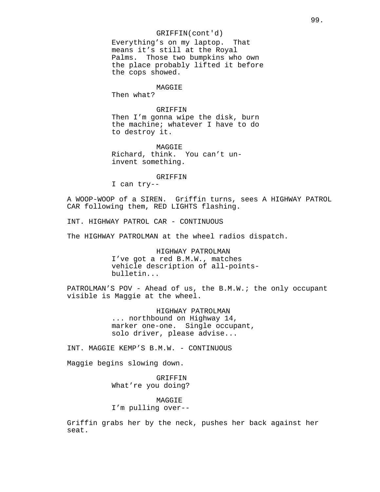# GRIFFIN(cont'd)

Everything's on my laptop. That means it's still at the Royal Palms. Those two bumpkins who own the place probably lifted it before the cops showed.

# MAGGIE

Then what?

# GRIFFIN

Then I'm gonna wipe the disk, burn the machine; whatever I have to do to destroy it.

MAGGIE Richard, think. You can't uninvent something.

#### GRIFFIN

I can try--

A WOOP-WOOP of a SIREN. Griffin turns, sees A HIGHWAY PATROL CAR following them, RED LIGHTS flashing.

INT. HIGHWAY PATROL CAR - CONTINUOUS

The HIGHWAY PATROLMAN at the wheel radios dispatch.

HIGHWAY PATROLMAN I've got a red B.M.W., matches vehicle description of all-pointsbulletin...

PATROLMAN'S POV - Ahead of us, the B.M.W.; the only occupant visible is Maggie at the wheel.

> HIGHWAY PATROLMAN ... northbound on Highway 14, marker one-one. Single occupant, solo driver, please advise...

INT. MAGGIE KEMP'S B.M.W. - CONTINUOUS

Maggie begins slowing down.

GRIFFIN What're you doing?

MAGGIE I'm pulling over--

Griffin grabs her by the neck, pushes her back against her seat.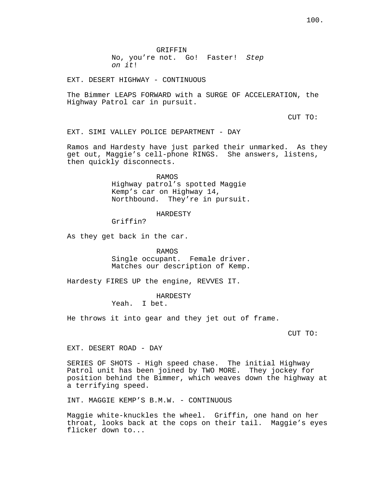EXT. DESERT HIGHWAY - CONTINUOUS

The Bimmer LEAPS FORWARD with a SURGE OF ACCELERATION, the Highway Patrol car in pursuit.

CUT TO:

EXT. SIMI VALLEY POLICE DEPARTMENT - DAY

Ramos and Hardesty have just parked their unmarked. As they get out, Maggie's cell-phone RINGS. She answers, listens, then quickly disconnects.

> RAMOS Highway patrol's spotted Maggie Kemp's car on Highway 14, Northbound. They're in pursuit.

# HARDESTY

Griffin?

As they get back in the car.

RAMOS

Single occupant. Female driver. Matches our description of Kemp.

Hardesty FIRES UP the engine, REVVES IT.

HARDESTY

Yeah. I bet.

He throws it into gear and they jet out of frame.

CUT TO:

EXT. DESERT ROAD - DAY

SERIES OF SHOTS - High speed chase. The initial Highway Patrol unit has been joined by TWO MORE. They jockey for position behind the Bimmer, which weaves down the highway at a terrifying speed.

INT. MAGGIE KEMP'S B.M.W. - CONTINUOUS

Maggie white-knuckles the wheel. Griffin, one hand on her throat, looks back at the cops on their tail. Maggie's eyes flicker down to...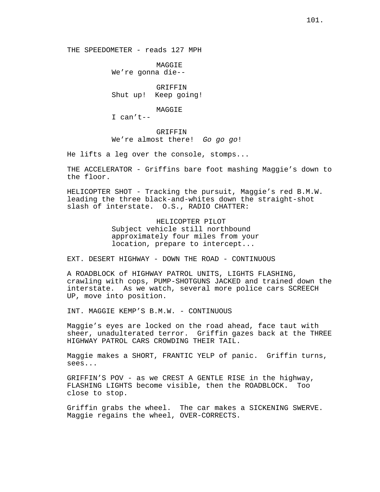THE SPEEDOMETER - reads 127 MPH

MAGGIE We're gonna die--

**GRIFFIN** Shut up! Keep going!

MAGGIE

I can't--

GRIFFIN We're almost there! Go go go!

He lifts a leg over the console, stomps...

THE ACCELERATOR - Griffins bare foot mashing Maggie's down to the floor.

HELICOPTER SHOT - Tracking the pursuit, Maggie's red B.M.W. leading the three black-and-whites down the straight-shot slash of interstate. O.S., RADIO CHATTER:

> HELICOPTER PILOT Subject vehicle still northbound approximately four miles from your location, prepare to intercept...

EXT. DESERT HIGHWAY - DOWN THE ROAD - CONTINUOUS

A ROADBLOCK of HIGHWAY PATROL UNITS, LIGHTS FLASHING, crawling with cops, PUMP-SHOTGUNS JACKED and trained down the interstate. As we watch, several more police cars SCREECH UP, move into position.

INT. MAGGIE KEMP'S B.M.W. - CONTINUOUS

Maggie's eyes are locked on the road ahead, face taut with sheer, unadulterated terror. Griffin gazes back at the THREE HIGHWAY PATROL CARS CROWDING THEIR TAIL.

Maggie makes a SHORT, FRANTIC YELP of panic. Griffin turns, sees...

GRIFFIN'S POV - as we CREST A GENTLE RISE in the highway, FLASHING LIGHTS become visible, then the ROADBLOCK. Too close to stop.

Griffin grabs the wheel. The car makes a SICKENING SWERVE. Maggie regains the wheel, OVER-CORRECTS.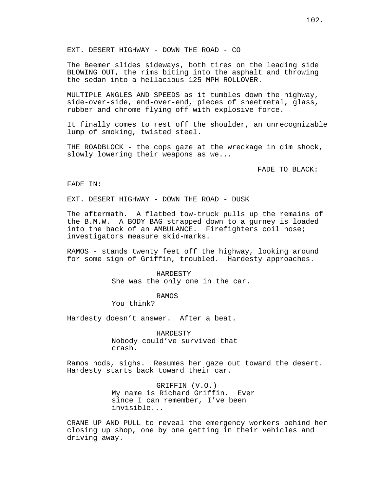EXT. DESERT HIGHWAY - DOWN THE ROAD - CO

The Beemer slides sideways, both tires on the leading side BLOWING OUT, the rims biting into the asphalt and throwing the sedan into a hellacious 125 MPH ROLLOVER.

MULTIPLE ANGLES AND SPEEDS as it tumbles down the highway, side-over-side, end-over-end, pieces of sheetmetal, glass, rubber and chrome flying off with explosive force.

It finally comes to rest off the shoulder, an unrecognizable lump of smoking, twisted steel.

THE ROADBLOCK - the cops gaze at the wreckage in dim shock, slowly lowering their weapons as we...

FADE TO BLACK:

### FADE IN:

EXT. DESERT HIGHWAY - DOWN THE ROAD - DUSK

The aftermath. A flatbed tow-truck pulls up the remains of the B.M.W. A BODY BAG strapped down to a gurney is loaded into the back of an AMBULANCE. Firefighters coil hose; investigators measure skid-marks.

RAMOS - stands twenty feet off the highway, looking around for some sign of Griffin, troubled. Hardesty approaches.

> HARDESTY She was the only one in the car.

> > RAMOS

You think?

Hardesty doesn't answer. After a beat.

HARDESTY Nobody could've survived that crash.

Ramos nods, sighs. Resumes her gaze out toward the desert. Hardesty starts back toward their car.

> GRIFFIN (V.O.) My name is Richard Griffin. Ever since I can remember, I've been invisible...

CRANE UP AND PULL to reveal the emergency workers behind her closing up shop, one by one getting in their vehicles and driving away.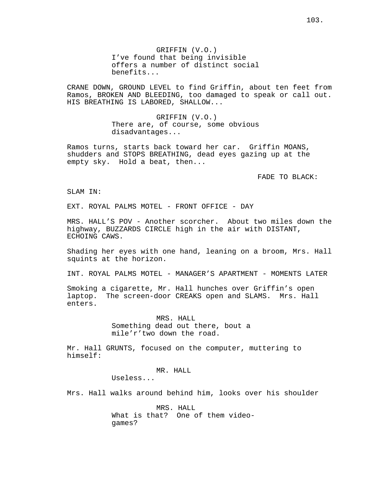GRIFFIN (V.O.) I've found that being invisible offers a number of distinct social benefits...

CRANE DOWN, GROUND LEVEL to find Griffin, about ten feet from Ramos, BROKEN AND BLEEDING, too damaged to speak or call out. HIS BREATHING IS LABORED, SHALLOW...

> GRIFFIN (V.O.) There are, of course, some obvious disadvantages...

Ramos turns, starts back toward her car. Griffin MOANS, shudders and STOPS BREATHING, dead eyes gazing up at the empty sky. Hold a beat, then...

FADE TO BLACK:

SLAM IN:

EXT. ROYAL PALMS MOTEL - FRONT OFFICE - DAY

MRS. HALL'S POV - Another scorcher. About two miles down the highway, BUZZARDS CIRCLE high in the air with DISTANT, ECHOING CAWS.

Shading her eyes with one hand, leaning on a broom, Mrs. Hall squints at the horizon.

INT. ROYAL PALMS MOTEL - MANAGER'S APARTMENT - MOMENTS LATER

Smoking a cigarette, Mr. Hall hunches over Griffin's open laptop. The screen-door CREAKS open and SLAMS. Mrs. Hall enters.

> MRS. HALL Something dead out there, bout a mile'r'two down the road.

Mr. Hall GRUNTS, focused on the computer, muttering to himself:

> MR. HALL Useless...

Mrs. Hall walks around behind him, looks over his shoulder

MRS. HALL What is that? One of them videogames?